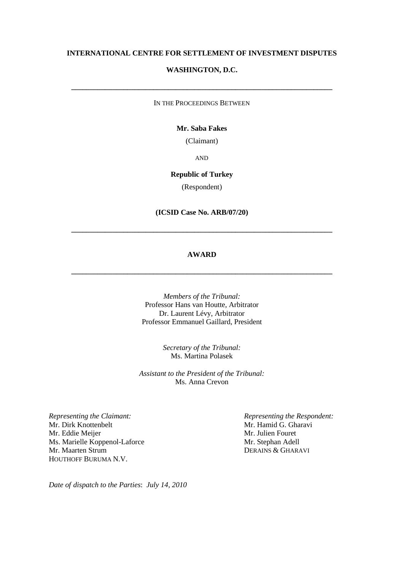# **INTERNATIONAL CENTRE FOR SETTLEMENT OF INVESTMENT DISPUTES**

# **WASHINGTON, D.C.**

IN THE PROCEEDINGS BETWEEN

**\_\_\_\_\_\_\_\_\_\_\_\_\_\_\_\_\_\_\_\_\_\_\_\_\_\_\_\_\_\_\_\_\_\_\_\_\_\_\_\_\_\_\_\_\_\_\_\_\_\_\_\_\_\_\_\_\_\_\_\_\_\_\_\_\_\_\_\_\_\_**

## **Mr. Saba Fakes**

(Claimant)

AND

# **Republic of Turkey**

(Respondent)

#### **(ICSID Case No. ARB/07/20)**

**\_\_\_\_\_\_\_\_\_\_\_\_\_\_\_\_\_\_\_\_\_\_\_\_\_\_\_\_\_\_\_\_\_\_\_\_\_\_\_\_\_\_\_\_\_\_\_\_\_\_\_\_\_\_\_\_\_\_\_\_\_\_\_\_\_\_\_\_\_\_**

#### **AWARD**

**\_\_\_\_\_\_\_\_\_\_\_\_\_\_\_\_\_\_\_\_\_\_\_\_\_\_\_\_\_\_\_\_\_\_\_\_\_\_\_\_\_\_\_\_\_\_\_\_\_\_\_\_\_\_\_\_\_\_\_\_\_\_\_\_\_\_\_\_\_\_**

*Members of the Tribunal:* Professor Hans van Houtte, Arbitrator Dr. Laurent Lévy, Arbitrator Professor Emmanuel Gaillard, President

> *Secretary of the Tribunal:* Ms. Martina Polasek

*Assistant to the President of the Tribunal:* Ms. Anna Crevon

*Representing the Claimant: Representing the Respondent:* Mr. Dirk Knottenbelt Mr. Hamid G. Gharavi Mr. Eddie Meijer Mr. Julien Fouret<br>
Ms. Marielle Koppenol-Laforce Mr. Stephan Adell Ms. Marielle Koppenol-Laforce Mr. Maarten Strum DERAINS & GHARAVI HOUTHOFF BURUMA N.V.

*Date of dispatch to the Parties*: *July 14, 2010*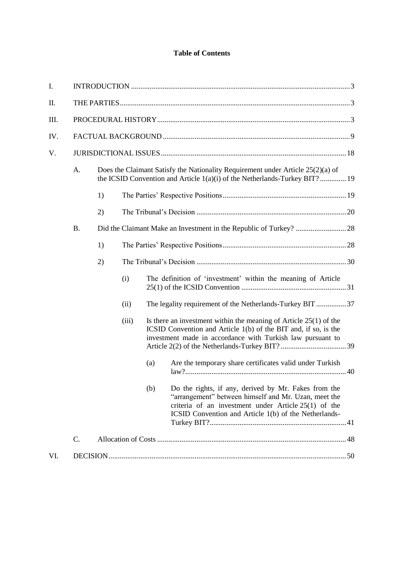# **Table of Contents**

| I.  |                                                                                                                                                                       |    |       |                                                                                                                                                                                                                                                                   |                                                                                                                                                                                                                                 |  |
|-----|-----------------------------------------------------------------------------------------------------------------------------------------------------------------------|----|-------|-------------------------------------------------------------------------------------------------------------------------------------------------------------------------------------------------------------------------------------------------------------------|---------------------------------------------------------------------------------------------------------------------------------------------------------------------------------------------------------------------------------|--|
| П.  |                                                                                                                                                                       |    |       |                                                                                                                                                                                                                                                                   |                                                                                                                                                                                                                                 |  |
| Ш.  |                                                                                                                                                                       |    |       |                                                                                                                                                                                                                                                                   |                                                                                                                                                                                                                                 |  |
| IV. |                                                                                                                                                                       |    |       |                                                                                                                                                                                                                                                                   |                                                                                                                                                                                                                                 |  |
| V.  |                                                                                                                                                                       |    |       |                                                                                                                                                                                                                                                                   |                                                                                                                                                                                                                                 |  |
|     | Does the Claimant Satisfy the Nationality Requirement under Article 25(2)(a) of<br>A.<br>the ICSID Convention and Article $1(a)(i)$ of the Netherlands-Turkey BIT? 19 |    |       |                                                                                                                                                                                                                                                                   |                                                                                                                                                                                                                                 |  |
|     |                                                                                                                                                                       | 1) |       |                                                                                                                                                                                                                                                                   |                                                                                                                                                                                                                                 |  |
|     |                                                                                                                                                                       | 2) |       |                                                                                                                                                                                                                                                                   |                                                                                                                                                                                                                                 |  |
|     | <b>B.</b>                                                                                                                                                             |    |       |                                                                                                                                                                                                                                                                   |                                                                                                                                                                                                                                 |  |
|     |                                                                                                                                                                       | 1) |       |                                                                                                                                                                                                                                                                   |                                                                                                                                                                                                                                 |  |
|     |                                                                                                                                                                       | 2) |       |                                                                                                                                                                                                                                                                   |                                                                                                                                                                                                                                 |  |
|     |                                                                                                                                                                       |    | (i)   |                                                                                                                                                                                                                                                                   | The definition of 'investment' within the meaning of Article                                                                                                                                                                    |  |
|     |                                                                                                                                                                       |    | (ii)  | The legality requirement of the Netherlands-Turkey BIT 37<br>Is there an investment within the meaning of Article $25(1)$ of the<br>ICSID Convention and Article 1(b) of the BIT and, if so, is the<br>investment made in accordance with Turkish law pursuant to |                                                                                                                                                                                                                                 |  |
|     |                                                                                                                                                                       |    | (iii) |                                                                                                                                                                                                                                                                   |                                                                                                                                                                                                                                 |  |
|     |                                                                                                                                                                       |    |       | (a)                                                                                                                                                                                                                                                               | Are the temporary share certificates valid under Turkish                                                                                                                                                                        |  |
|     |                                                                                                                                                                       |    |       | (b)                                                                                                                                                                                                                                                               | Do the rights, if any, derived by Mr. Fakes from the<br>"arrangement" between himself and Mr. Uzan, meet the<br>criteria of an investment under Article $25(1)$ of the<br>ICSID Convention and Article 1(b) of the Netherlands- |  |
|     | $\mathcal{C}$ .                                                                                                                                                       |    |       |                                                                                                                                                                                                                                                                   |                                                                                                                                                                                                                                 |  |
| VI. |                                                                                                                                                                       |    |       |                                                                                                                                                                                                                                                                   |                                                                                                                                                                                                                                 |  |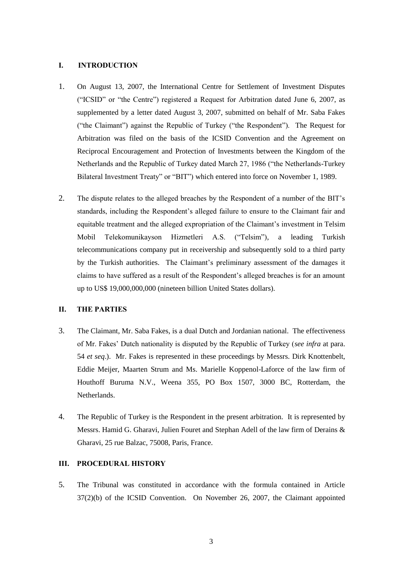#### **I. INTRODUCTION**

- 1. On August 13, 2007, the International Centre for Settlement of Investment Disputes ("ICSID" or "the Centre") registered a Request for Arbitration dated June 6, 2007, as supplemented by a letter dated August 3, 2007, submitted on behalf of Mr. Saba Fakes ("the Claimant") against the Republic of Turkey ("the Respondent"). The Request for Arbitration was filed on the basis of the ICSID Convention and the Agreement on Reciprocal Encouragement and Protection of Investments between the Kingdom of the Netherlands and the Republic of Turkey dated March 27, 1986 ("the Netherlands-Turkey Bilateral Investment Treaty" or "BIT") which entered into force on November 1, 1989.
- 2. The dispute relates to the alleged breaches by the Respondent of a number of the BIT"s standards, including the Respondent"s alleged failure to ensure to the Claimant fair and equitable treatment and the alleged expropriation of the Claimant's investment in Telsim Mobil Telekomunikayson Hizmetleri A.S. ("Telsim"), a leading Turkish telecommunications company put in receivership and subsequently sold to a third party by the Turkish authorities. The Claimant"s preliminary assessment of the damages it claims to have suffered as a result of the Respondent"s alleged breaches is for an amount up to US\$ 19,000,000,000 (nineteen billion United States dollars).

# **II. THE PARTIES**

- 3. The Claimant, Mr. Saba Fakes, is a dual Dutch and Jordanian national. The effectiveness of Mr. Fakes" Dutch nationality is disputed by the Republic of Turkey (*see infra* at para. 54 *et seq*.). Mr. Fakes is represented in these proceedings by Messrs. Dirk Knottenbelt, Eddie Meijer, Maarten Strum and Ms. Marielle Koppenol-Laforce of the law firm of Houthoff Buruma N.V., Weena 355, PO Box 1507, 3000 BC, Rotterdam, the Netherlands.
- 4. The Republic of Turkey is the Respondent in the present arbitration. It is represented by Messrs. Hamid G. Gharavi, Julien Fouret and Stephan Adell of the law firm of Derains & Gharavi, 25 rue Balzac, 75008, Paris, France.

# **III. PROCEDURAL HISTORY**

5. The Tribunal was constituted in accordance with the formula contained in Article 37(2)(b) of the ICSID Convention. On November 26, 2007, the Claimant appointed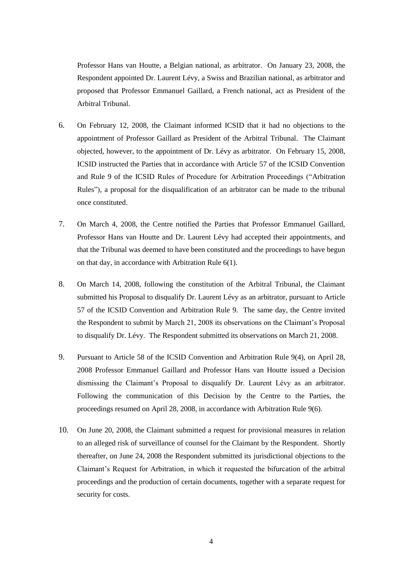Professor Hans van Houtte, a Belgian national, as arbitrator. On January 23, 2008, the Respondent appointed Dr. Laurent Lévy, a Swiss and Brazilian national, as arbitrator and proposed that Professor Emmanuel Gaillard, a French national, act as President of the Arbitral Tribunal.

- 6. On February 12, 2008, the Claimant informed ICSID that it had no objections to the appointment of Professor Gaillard as President of the Arbitral Tribunal. The Claimant objected, however, to the appointment of Dr. Lévy as arbitrator. On February 15, 2008, ICSID instructed the Parties that in accordance with Article 57 of the ICSID Convention and Rule 9 of the ICSID Rules of Procedure for Arbitration Proceedings ("Arbitration Rules"), a proposal for the disqualification of an arbitrator can be made to the tribunal once constituted.
- 7. On March 4, 2008, the Centre notified the Parties that Professor Emmanuel Gaillard, Professor Hans van Houtte and Dr. Laurent Lévy had accepted their appointments, and that the Tribunal was deemed to have been constituted and the proceedings to have begun on that day, in accordance with Arbitration Rule 6(1).
- 8. On March 14, 2008, following the constitution of the Arbitral Tribunal, the Claimant submitted his Proposal to disqualify Dr. Laurent Lévy as an arbitrator, pursuant to Article 57 of the ICSID Convention and Arbitration Rule 9. The same day, the Centre invited the Respondent to submit by March 21, 2008 its observations on the Claimant"s Proposal to disqualify Dr. Lévy. The Respondent submitted its observations on March 21, 2008.
- 9. Pursuant to Article 58 of the ICSID Convention and Arbitration Rule 9(4), on April 28, 2008 Professor Emmanuel Gaillard and Professor Hans van Houtte issued a Decision dismissing the Claimant"s Proposal to disqualify Dr. Laurent Lévy as an arbitrator. Following the communication of this Decision by the Centre to the Parties, the proceedings resumed on April 28, 2008, in accordance with Arbitration Rule 9(6).
- 10. On June 20, 2008, the Claimant submitted a request for provisional measures in relation to an alleged risk of surveillance of counsel for the Claimant by the Respondent. Shortly thereafter, on June 24, 2008 the Respondent submitted its jurisdictional objections to the Claimant"s Request for Arbitration, in which it requested the bifurcation of the arbitral proceedings and the production of certain documents, together with a separate request for security for costs.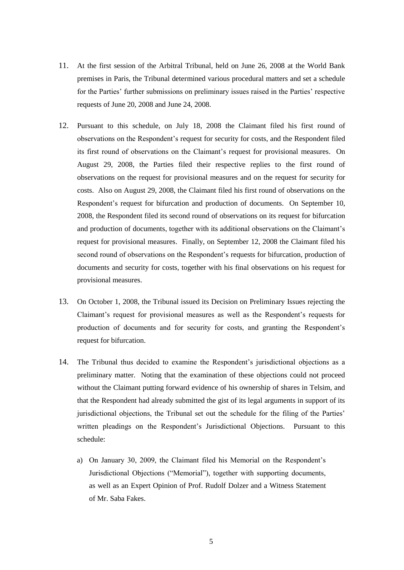- 11. At the first session of the Arbitral Tribunal, held on June 26, 2008 at the World Bank premises in Paris, the Tribunal determined various procedural matters and set a schedule for the Parties' further submissions on preliminary issues raised in the Parties' respective requests of June 20, 2008 and June 24, 2008.
- 12. Pursuant to this schedule, on July 18, 2008 the Claimant filed his first round of observations on the Respondent"s request for security for costs, and the Respondent filed its first round of observations on the Claimant"s request for provisional measures. On August 29, 2008, the Parties filed their respective replies to the first round of observations on the request for provisional measures and on the request for security for costs. Also on August 29, 2008, the Claimant filed his first round of observations on the Respondent"s request for bifurcation and production of documents. On September 10, 2008, the Respondent filed its second round of observations on its request for bifurcation and production of documents, together with its additional observations on the Claimant"s request for provisional measures. Finally, on September 12, 2008 the Claimant filed his second round of observations on the Respondent"s requests for bifurcation, production of documents and security for costs, together with his final observations on his request for provisional measures.
- 13. On October 1, 2008, the Tribunal issued its Decision on Preliminary Issues rejecting the Claimant"s request for provisional measures as well as the Respondent"s requests for production of documents and for security for costs, and granting the Respondent"s request for bifurcation.
- 14. The Tribunal thus decided to examine the Respondent"s jurisdictional objections as a preliminary matter. Noting that the examination of these objections could not proceed without the Claimant putting forward evidence of his ownership of shares in Telsim, and that the Respondent had already submitted the gist of its legal arguments in support of its jurisdictional objections, the Tribunal set out the schedule for the filing of the Parties" written pleadings on the Respondent's Jurisdictional Objections. Pursuant to this schedule:
	- a) On January 30, 2009, the Claimant filed his Memorial on the Respondent"s Jurisdictional Objections ("Memorial"), together with supporting documents, as well as an Expert Opinion of Prof. Rudolf Dolzer and a Witness Statement of Mr. Saba Fakes.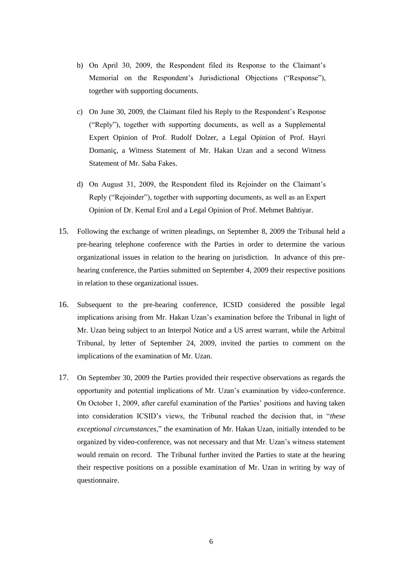- b) On April 30, 2009, the Respondent filed its Response to the Claimant"s Memorial on the Respondent's Jurisdictional Objections ("Response"), together with supporting documents.
- c) On June 30, 2009, the Claimant filed his Reply to the Respondent"s Response ("Reply"), together with supporting documents, as well as a Supplemental Expert Opinion of Prof. Rudolf Dolzer, a Legal Opinion of Prof. Hayri Domaniç, a Witness Statement of Mr. Hakan Uzan and a second Witness Statement of Mr. Saba Fakes.
- d) On August 31, 2009, the Respondent filed its Rejoinder on the Claimant"s Reply ("Rejoinder"), together with supporting documents, as well as an Expert Opinion of Dr. Kemal Erol and a Legal Opinion of Prof. Mehmet Bahtiyar.
- 15. Following the exchange of written pleadings, on September 8, 2009 the Tribunal held a pre-hearing telephone conference with the Parties in order to determine the various organizational issues in relation to the hearing on jurisdiction. In advance of this prehearing conference, the Parties submitted on September 4, 2009 their respective positions in relation to these organizational issues.
- 16. Subsequent to the pre-hearing conference, ICSID considered the possible legal implications arising from Mr. Hakan Uzan"s examination before the Tribunal in light of Mr. Uzan being subject to an Interpol Notice and a US arrest warrant, while the Arbitral Tribunal, by letter of September 24, 2009, invited the parties to comment on the implications of the examination of Mr. Uzan.
- 17. On September 30, 2009 the Parties provided their respective observations as regards the opportunity and potential implications of Mr. Uzan"s examination by video-conference. On October 1, 2009, after careful examination of the Parties' positions and having taken into consideration ICSID"s views, the Tribunal reached the decision that, in "*these exceptional circumstances*," the examination of Mr. Hakan Uzan, initially intended to be organized by video-conference, was not necessary and that Mr. Uzan"s witness statement would remain on record. The Tribunal further invited the Parties to state at the hearing their respective positions on a possible examination of Mr. Uzan in writing by way of questionnaire.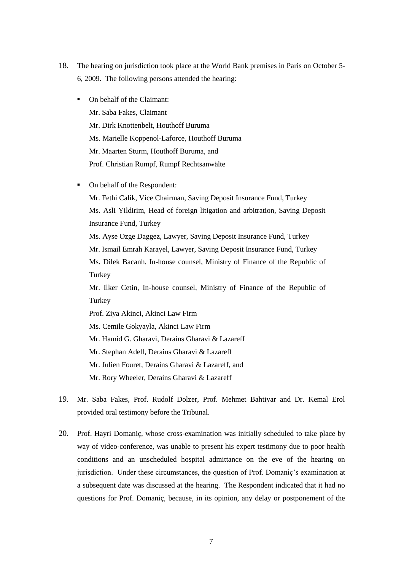- 18. The hearing on jurisdiction took place at the World Bank premises in Paris on October 5- 6, 2009. The following persons attended the hearing:
	- On behalf of the Claimant: Mr. Saba Fakes, Claimant Mr. Dirk Knottenbelt, Houthoff Buruma Ms. Marielle Koppenol-Laforce, Houthoff Buruma Mr. Maarten Sturm, Houthoff Buruma, and Prof. Christian Rumpf, Rumpf Rechtsanwälte
	- On behalf of the Respondent:

Mr. Fethi Calik, Vice Chairman, Saving Deposit Insurance Fund, Turkey Ms. Asli Yildirim, Head of foreign litigation and arbitration, Saving Deposit Insurance Fund, Turkey Ms. Ayse Ozge Daggez, Lawyer, Saving Deposit Insurance Fund, Turkey Mr. Ismail Emrah Karayel, Lawyer, Saving Deposit Insurance Fund, Turkey Ms. Dilek Bacanh, In-house counsel, Ministry of Finance of the Republic of Turkey Mr. Ilker Cetin, In-house counsel, Ministry of Finance of the Republic of **Turkey** Prof. Ziya Akinci, Akinci Law Firm

Ms. Cemile Gokyayla, Akinci Law Firm

Mr. Hamid G. Gharavi, Derains Gharavi & Lazareff

Mr. Stephan Adell, Derains Gharavi & Lazareff

Mr. Julien Fouret, Derains Gharavi & Lazareff, and

Mr. Rory Wheeler, Derains Gharavi & Lazareff

- 19. Mr. Saba Fakes, Prof. Rudolf Dolzer, Prof. Mehmet Bahtiyar and Dr. Kemal Erol provided oral testimony before the Tribunal.
- 20. Prof. Hayri Domaniç, whose cross-examination was initially scheduled to take place by way of video-conference, was unable to present his expert testimony due to poor health conditions and an unscheduled hospital admittance on the eve of the hearing on jurisdiction. Under these circumstances, the question of Prof. Domaniç"s examination at a subsequent date was discussed at the hearing. The Respondent indicated that it had no questions for Prof. Domaniç, because, in its opinion, any delay or postponement of the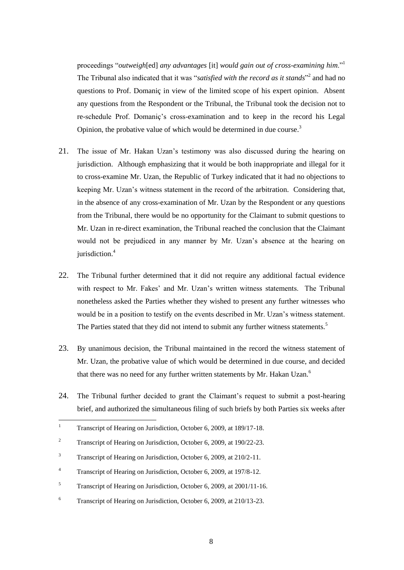proceedings "*outweigh*[ed] *any advantages* [it] *would gain out of cross-examining him*."<sup>1</sup> The Tribunal also indicated that it was "*satisfied with the record as it stands*" 2 and had no questions to Prof. Domaniç in view of the limited scope of his expert opinion. Absent any questions from the Respondent or the Tribunal, the Tribunal took the decision not to re-schedule Prof. Domaniç"s cross-examination and to keep in the record his Legal Opinion, the probative value of which would be determined in due course.<sup>3</sup>

- 21. The issue of Mr. Hakan Uzan"s testimony was also discussed during the hearing on jurisdiction. Although emphasizing that it would be both inappropriate and illegal for it to cross-examine Mr. Uzan, the Republic of Turkey indicated that it had no objections to keeping Mr. Uzan"s witness statement in the record of the arbitration. Considering that, in the absence of any cross-examination of Mr. Uzan by the Respondent or any questions from the Tribunal, there would be no opportunity for the Claimant to submit questions to Mr. Uzan in re-direct examination, the Tribunal reached the conclusion that the Claimant would not be prejudiced in any manner by Mr. Uzan"s absence at the hearing on jurisdiction.<sup>4</sup>
- 22. The Tribunal further determined that it did not require any additional factual evidence with respect to Mr. Fakes' and Mr. Uzan's written witness statements. The Tribunal nonetheless asked the Parties whether they wished to present any further witnesses who would be in a position to testify on the events described in Mr. Uzan"s witness statement. The Parties stated that they did not intend to submit any further witness statements.<sup>5</sup>
- 23. By unanimous decision, the Tribunal maintained in the record the witness statement of Mr. Uzan, the probative value of which would be determined in due course, and decided that there was no need for any further written statements by Mr. Hakan Uzan.<sup>6</sup>
- 24. The Tribunal further decided to grant the Claimant's request to submit a post-hearing brief, and authorized the simultaneous filing of such briefs by both Parties six weeks after

 $\bar{1}$ <sup>1</sup> Transcript of Hearing on Jurisdiction, October 6, 2009, at 189/17-18.

<sup>&</sup>lt;sup>2</sup> Transcript of Hearing on Jurisdiction, October 6, 2009, at 190/22-23.

<sup>&</sup>lt;sup>3</sup> Transcript of Hearing on Jurisdiction, October 6, 2009, at 210/2-11.

<sup>4</sup> Transcript of Hearing on Jurisdiction, October 6, 2009, at 197/8-12.

<sup>&</sup>lt;sup>5</sup> Transcript of Hearing on Jurisdiction, October 6, 2009, at 2001/11-16.

<sup>6</sup> Transcript of Hearing on Jurisdiction, October 6, 2009, at 210/13-23.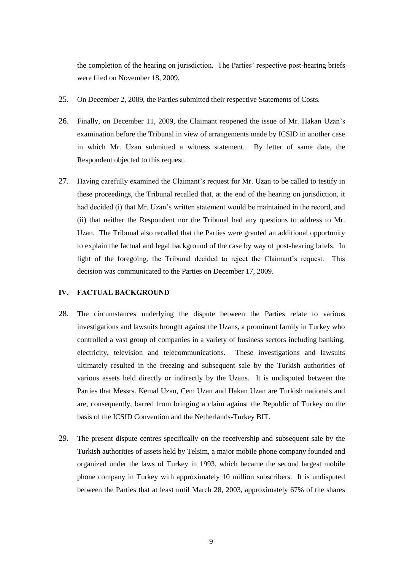the completion of the hearing on jurisdiction. The Parties' respective post-hearing briefs were filed on November 18, 2009.

- 25. On December 2, 2009, the Parties submitted their respective Statements of Costs.
- 26. Finally, on December 11, 2009, the Claimant reopened the issue of Mr. Hakan Uzan"s examination before the Tribunal in view of arrangements made by ICSID in another case in which Mr. Uzan submitted a witness statement. By letter of same date, the Respondent objected to this request.
- 27. Having carefully examined the Claimant's request for Mr. Uzan to be called to testify in these proceedings, the Tribunal recalled that, at the end of the hearing on jurisdiction, it had decided (i) that Mr. Uzan's written statement would be maintained in the record, and (ii) that neither the Respondent nor the Tribunal had any questions to address to Mr. Uzan. The Tribunal also recalled that the Parties were granted an additional opportunity to explain the factual and legal background of the case by way of post-hearing briefs. In light of the foregoing, the Tribunal decided to reject the Claimant"s request. This decision was communicated to the Parties on December 17, 2009.

# **IV. FACTUAL BACKGROUND**

- 28. The circumstances underlying the dispute between the Parties relate to various investigations and lawsuits brought against the Uzans, a prominent family in Turkey who controlled a vast group of companies in a variety of business sectors including banking, electricity, television and telecommunications. These investigations and lawsuits ultimately resulted in the freezing and subsequent sale by the Turkish authorities of various assets held directly or indirectly by the Uzans. It is undisputed between the Parties that Messrs. Kemal Uzan, Cem Uzan and Hakan Uzan are Turkish nationals and are, consequently, barred from bringing a claim against the Republic of Turkey on the basis of the ICSID Convention and the Netherlands-Turkey BIT.
- 29. The present dispute centres specifically on the receivership and subsequent sale by the Turkish authorities of assets held by Telsim, a major mobile phone company founded and organized under the laws of Turkey in 1993, which became the second largest mobile phone company in Turkey with approximately 10 million subscribers. It is undisputed between the Parties that at least until March 28, 2003, approximately 67% of the shares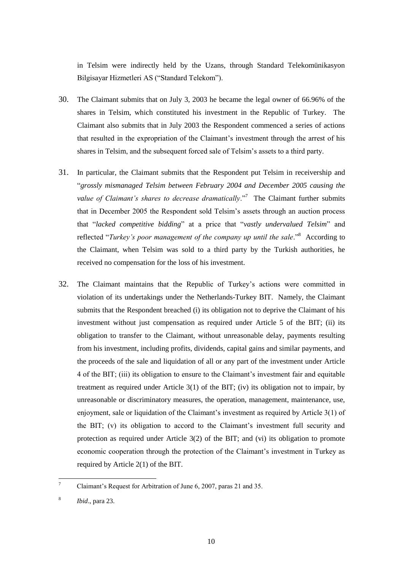in Telsim were indirectly held by the Uzans, through Standard Telekomünikasyon Bilgisayar Hizmetleri AS ("Standard Telekom").

- 30. The Claimant submits that on July 3, 2003 he became the legal owner of 66.96% of the shares in Telsim, which constituted his investment in the Republic of Turkey. The Claimant also submits that in July 2003 the Respondent commenced a series of actions that resulted in the expropriation of the Claimant"s investment through the arrest of his shares in Telsim, and the subsequent forced sale of Telsim"s assets to a third party.
- 31. In particular, the Claimant submits that the Respondent put Telsim in receivership and "*grossly mismanaged Telsim between February 2004 and December 2005 causing the value of Claimant's shares to decrease dramatically*."<sup>7</sup> The Claimant further submits that in December 2005 the Respondent sold Telsim"s assets through an auction process that "*lacked competitive bidding*" at a price that "*vastly undervalued Telsim*" and reflected "Turkey's poor management of the company up until the sale."<sup>8</sup> According to the Claimant, when Telsim was sold to a third party by the Turkish authorities, he received no compensation for the loss of his investment.
- 32. The Claimant maintains that the Republic of Turkey"s actions were committed in violation of its undertakings under the Netherlands-Turkey BIT. Namely, the Claimant submits that the Respondent breached (i) its obligation not to deprive the Claimant of his investment without just compensation as required under Article 5 of the BIT; (ii) its obligation to transfer to the Claimant, without unreasonable delay, payments resulting from his investment, including profits, dividends, capital gains and similar payments, and the proceeds of the sale and liquidation of all or any part of the investment under Article 4 of the BIT; (iii) its obligation to ensure to the Claimant"s investment fair and equitable treatment as required under Article 3(1) of the BIT; (iv) its obligation not to impair, by unreasonable or discriminatory measures, the operation, management, maintenance, use, enjoyment, sale or liquidation of the Claimant's investment as required by Article 3(1) of the BIT; (v) its obligation to accord to the Claimant"s investment full security and protection as required under Article 3(2) of the BIT; and (vi) its obligation to promote economic cooperation through the protection of the Claimant"s investment in Turkey as required by Article 2(1) of the BIT.

 $\overline{7}$ <sup>7</sup> Claimant"s Request for Arbitration of June 6, 2007, paras 21 and 35.

<sup>8</sup> *Ibid*., para 23.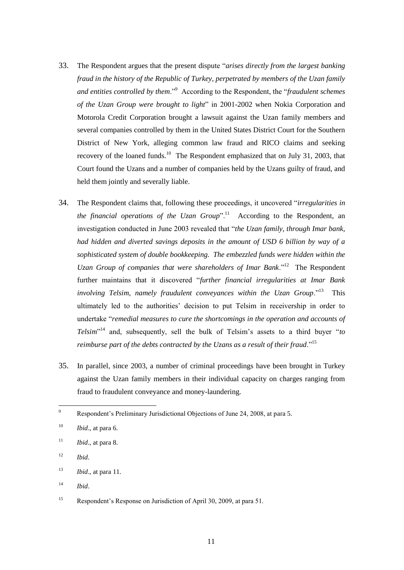- 33. The Respondent argues that the present dispute "*arises directly from the largest banking fraud in the history of the Republic of Turkey, perpetrated by members of the Uzan family and entities controlled by them*."<sup>9</sup> According to the Respondent, the "*fraudulent schemes of the Uzan Group were brought to light*" in 2001-2002 when Nokia Corporation and Motorola Credit Corporation brought a lawsuit against the Uzan family members and several companies controlled by them in the United States District Court for the Southern District of New York, alleging common law fraud and RICO claims and seeking recovery of the loaned funds.<sup>10</sup> The Respondent emphasized that on July 31, 2003, that Court found the Uzans and a number of companies held by the Uzans guilty of fraud, and held them jointly and severally liable.
- 34. The Respondent claims that, following these proceedings, it uncovered "*irregularities in*  the financial operations of the Uzan Group".<sup>11</sup> According to the Respondent, an investigation conducted in June 2003 revealed that "*the Uzan family, through Imar bank, had hidden and diverted savings deposits in the amount of USD 6 billion by way of a sophisticated system of double bookkeeping. The embezzled funds were hidden within the*  Uzan Group of companies that were shareholders of Imar Bank."<sup>12</sup> The Respondent further maintains that it discovered "*further financial irregularities at Imar Bank*  involving Telsim, namely fraudulent conveyances within the Uzan Group."<sup>13</sup> This ultimately led to the authorities" decision to put Telsim in receivership in order to undertake "*remedial measures to cure the shortcomings in the operation and accounts of Telsim*" <sup>14</sup> and, subsequently, sell the bulk of Telsim"s assets to a third buyer "*to reimburse part of the debts contracted by the Uzans as a result of their fraud*."<sup>15</sup>
- 35. In parallel, since 2003, a number of criminal proceedings have been brought in Turkey against the Uzan family members in their individual capacity on charges ranging from fraud to fraudulent conveyance and money-laundering.

<sup>12</sup> *Ibid*.

<sup>14</sup> *Ibid*.

 $\overline{9}$ Respondent's Preliminary Jurisdictional Objections of June 24, 2008, at para 5.

 $10$  *Ibid.*, at para 6.

 $11$  *Ibid.*, at para 8.

<sup>13</sup> *Ibid*., at para 11.

<sup>&</sup>lt;sup>15</sup> Respondent's Response on Jurisdiction of April 30, 2009, at para 51.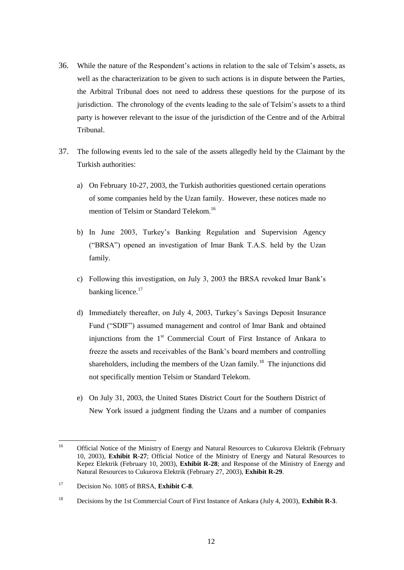- 36. While the nature of the Respondent"s actions in relation to the sale of Telsim"s assets, as well as the characterization to be given to such actions is in dispute between the Parties, the Arbitral Tribunal does not need to address these questions for the purpose of its jurisdiction. The chronology of the events leading to the sale of Telsim"s assets to a third party is however relevant to the issue of the jurisdiction of the Centre and of the Arbitral Tribunal.
- 37. The following events led to the sale of the assets allegedly held by the Claimant by the Turkish authorities:
	- a) On February 10-27, 2003, the Turkish authorities questioned certain operations of some companies held by the Uzan family. However, these notices made no mention of Telsim or Standard Telekom.<sup>16</sup>
	- b) In June 2003, Turkey"s Banking Regulation and Supervision Agency ("BRSA") opened an investigation of Imar Bank T.A.S. held by the Uzan family.
	- c) Following this investigation, on July 3, 2003 the BRSA revoked Imar Bank"s banking licence.<sup>17</sup>
	- d) Immediately thereafter, on July 4, 2003, Turkey"s Savings Deposit Insurance Fund ("SDIF") assumed management and control of Imar Bank and obtained injunctions from the 1<sup>st</sup> Commercial Court of First Instance of Ankara to freeze the assets and receivables of the Bank"s board members and controlling shareholders, including the members of the Uzan family.<sup>18</sup> The injunctions did not specifically mention Telsim or Standard Telekom.
	- e) On July 31, 2003, the United States District Court for the Southern District of New York issued a judgment finding the Uzans and a number of companies

 $16$ <sup>16</sup> Official Notice of the Ministry of Energy and Natural Resources to Cukurova Elektrik (February 10, 2003), **Exhibit R-27**; Official Notice of the Ministry of Energy and Natural Resources to Kepez Elektrik (February 10, 2003), **Exhibit R-28**; and Response of the Ministry of Energy and Natural Resources to Cukurova Elektrik (February 27, 2003), **Exhibit R-29**.

<sup>17</sup> Decision No. 1085 of BRSA, **Exhibit C-8**.

<sup>18</sup> Decisions by the 1st Commercial Court of First Instance of Ankara (July 4, 2003), **Exhibit R-3**.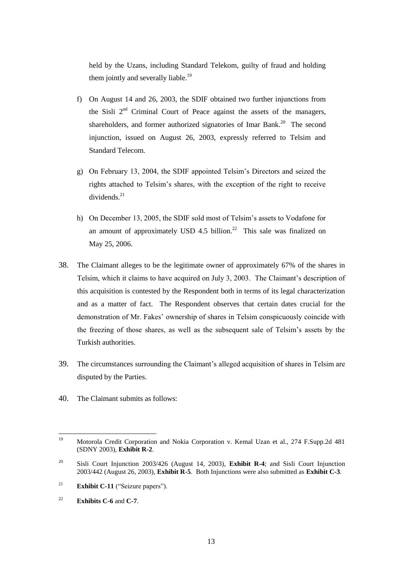held by the Uzans, including Standard Telekom, guilty of fraud and holding them jointly and severally liable.<sup>19</sup>

- f) On August 14 and 26, 2003, the SDIF obtained two further injunctions from the Sisli  $2<sup>nd</sup>$  Criminal Court of Peace against the assets of the managers, shareholders, and former authorized signatories of Imar Bank.<sup>20</sup> The second injunction, issued on August 26, 2003, expressly referred to Telsim and Standard Telecom.
- g) On February 13, 2004, the SDIF appointed Telsim"s Directors and seized the rights attached to Telsim"s shares, with the exception of the right to receive dividends. $^{21}$
- h) On December 13, 2005, the SDIF sold most of Telsim's assets to Vodafone for an amount of approximately USD 4.5 billion.<sup>22</sup> This sale was finalized on May 25, 2006.
- 38. The Claimant alleges to be the legitimate owner of approximately 67% of the shares in Telsim, which it claims to have acquired on July 3, 2003. The Claimant"s description of this acquisition is contested by the Respondent both in terms of its legal characterization and as a matter of fact. The Respondent observes that certain dates crucial for the demonstration of Mr. Fakes" ownership of shares in Telsim conspicuously coincide with the freezing of those shares, as well as the subsequent sale of Telsim"s assets by the Turkish authorities.
- 39. The circumstances surrounding the Claimant's alleged acquisition of shares in Telsim are disputed by the Parties.
- 40. The Claimant submits as follows:

<sup>19</sup> <sup>19</sup> Motorola Credit Corporation and Nokia Corporation v. Kemal Uzan et al., 274 F.Supp.2d 481 (SDNY 2003), **Exhibit R-2**.

<sup>20</sup> Sisli Court Injunction 2003/426 (August 14, 2003), **Exhibit R-4**; and Sisli Court Injunction 2003/442 (August 26, 2003), **Exhibit R-5**. Both Injunctions were also submitted as **Exhibit C-3**.

<sup>21</sup> **Exhibit C-11** ("Seizure papers").

<sup>22</sup> **Exhibits C-6** and **C-7**.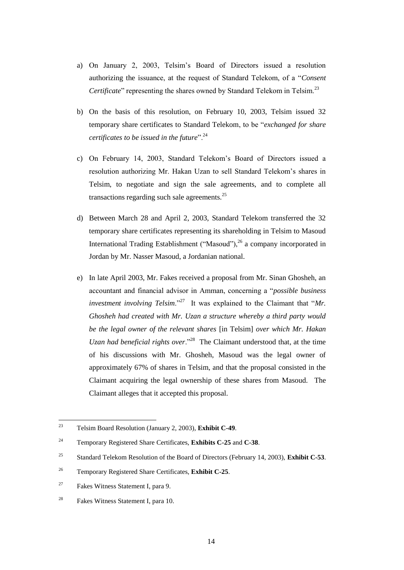- a) On January 2, 2003, Telsim"s Board of Directors issued a resolution authorizing the issuance, at the request of Standard Telekom, of a "*Consent Certificate*" representing the shares owned by Standard Telekom in Telsim.<sup>23</sup>
- b) On the basis of this resolution, on February 10, 2003, Telsim issued 32 temporary share certificates to Standard Telekom, to be "*exchanged for share certificates to be issued in the future*".<sup>24</sup>
- c) On February 14, 2003, Standard Telekom"s Board of Directors issued a resolution authorizing Mr. Hakan Uzan to sell Standard Telekom"s shares in Telsim, to negotiate and sign the sale agreements, and to complete all transactions regarding such sale agreements.<sup>25</sup>
- d) Between March 28 and April 2, 2003, Standard Telekom transferred the 32 temporary share certificates representing its shareholding in Telsim to Masoud International Trading Establishment ("Masoud"), $^{26}$  a company incorporated in Jordan by Mr. Nasser Masoud, a Jordanian national.
- e) In late April 2003, Mr. Fakes received a proposal from Mr. Sinan Ghosheh, an accountant and financial advisor in Amman, concerning a "*possible business investment involving Telsim*."<sup>27</sup> It was explained to the Claimant that "*Mr*. *Ghosheh had created with Mr. Uzan a structure whereby a third party would be the legal owner of the relevant shares* [in Telsim] *over which Mr. Hakan*  Uzan had beneficial rights over."<sup>28</sup> The Claimant understood that, at the time of his discussions with Mr. Ghosheh, Masoud was the legal owner of approximately 67% of shares in Telsim, and that the proposal consisted in the Claimant acquiring the legal ownership of these shares from Masoud. The Claimant alleges that it accepted this proposal.

<sup>23</sup> <sup>23</sup> Telsim Board Resolution (January 2, 2003), **Exhibit C-49**.

<sup>24</sup> Temporary Registered Share Certificates, **Exhibits C-25** and **C-38**.

<sup>25</sup> Standard Telekom Resolution of the Board of Directors (February 14, 2003), **Exhibit C-53**.

<sup>26</sup> Temporary Registered Share Certificates, **Exhibit C-25**.

<sup>27</sup> Fakes Witness Statement I, para 9.

<sup>28</sup> Fakes Witness Statement I, para 10.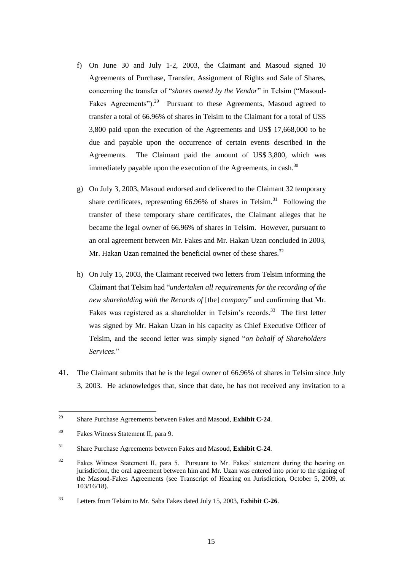- f) On June 30 and July 1-2, 2003, the Claimant and Masoud signed 10 Agreements of Purchase, Transfer, Assignment of Rights and Sale of Shares, concerning the transfer of "*shares owned by the Vendor*" in Telsim ("Masoud-Fakes Agreements").<sup>29</sup> Pursuant to these Agreements, Masoud agreed to transfer a total of 66.96% of shares in Telsim to the Claimant for a total of US\$ 3,800 paid upon the execution of the Agreements and US\$ 17,668,000 to be due and payable upon the occurrence of certain events described in the Agreements. The Claimant paid the amount of US\$ 3,800, which was immediately payable upon the execution of the Agreements, in cash. $30$
- g) On July 3, 2003, Masoud endorsed and delivered to the Claimant 32 temporary share certificates, representing  $66.96\%$  of shares in Telsim.<sup>31</sup> Following the transfer of these temporary share certificates, the Claimant alleges that he became the legal owner of 66.96% of shares in Telsim. However, pursuant to an oral agreement between Mr. Fakes and Mr. Hakan Uzan concluded in 2003, Mr. Hakan Uzan remained the beneficial owner of these shares.<sup>32</sup>
- h) On July 15, 2003, the Claimant received two letters from Telsim informing the Claimant that Telsim had "*undertaken all requirements for the recording of the new shareholding with the Records of* [the] *company*" and confirming that Mr. Fakes was registered as a shareholder in Telsim's records.<sup>33</sup> The first letter was signed by Mr. Hakan Uzan in his capacity as Chief Executive Officer of Telsim, and the second letter was simply signed "*on behalf of Shareholders Services*."
- 41. The Claimant submits that he is the legal owner of 66.96% of shares in Telsim since July 3, 2003. He acknowledges that, since that date, he has not received any invitation to a

<sup>29</sup> <sup>29</sup> Share Purchase Agreements between Fakes and Masoud, **Exhibit C-24**.

<sup>30</sup> Fakes Witness Statement II, para 9.

<sup>31</sup> Share Purchase Agreements between Fakes and Masoud, **Exhibit C-24**.

<sup>&</sup>lt;sup>32</sup> Fakes Witness Statement II, para 5. Pursuant to Mr. Fakes' statement during the hearing on jurisdiction, the oral agreement between him and Mr. Uzan was entered into prior to the signing of the Masoud-Fakes Agreements (see Transcript of Hearing on Jurisdiction, October 5, 2009, at 103/16/18).

<sup>33</sup> Letters from Telsim to Mr. Saba Fakes dated July 15, 2003, **Exhibit C-26**.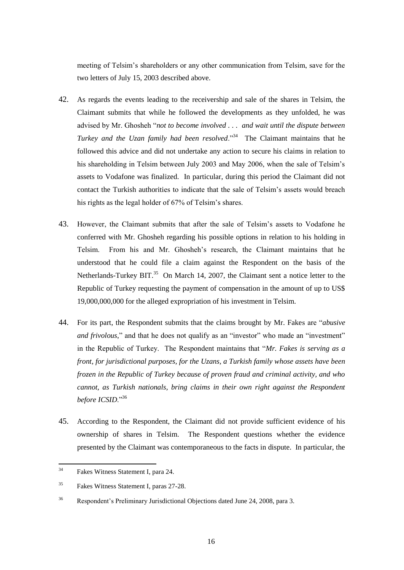meeting of Telsim"s shareholders or any other communication from Telsim, save for the two letters of July 15, 2003 described above.

- 42. As regards the events leading to the receivership and sale of the shares in Telsim, the Claimant submits that while he followed the developments as they unfolded, he was advised by Mr. Ghosheh "*not to become involved . . . and wait until the dispute between Turkey and the Uzan family had been resolved*."<sup>34</sup> The Claimant maintains that he followed this advice and did not undertake any action to secure his claims in relation to his shareholding in Telsim between July 2003 and May 2006, when the sale of Telsim"s assets to Vodafone was finalized. In particular, during this period the Claimant did not contact the Turkish authorities to indicate that the sale of Telsim"s assets would breach his rights as the legal holder of 67% of Telsim's shares.
- 43. However, the Claimant submits that after the sale of Telsim"s assets to Vodafone he conferred with Mr. Ghosheh regarding his possible options in relation to his holding in Telsim. From his and Mr. Ghosheh"s research, the Claimant maintains that he understood that he could file a claim against the Respondent on the basis of the Netherlands-Turkey BIT. $^{35}$  On March 14, 2007, the Claimant sent a notice letter to the Republic of Turkey requesting the payment of compensation in the amount of up to US\$ 19,000,000,000 for the alleged expropriation of his investment in Telsim.
- 44. For its part, the Respondent submits that the claims brought by Mr. Fakes are "*abusive and frivolous*," and that he does not qualify as an "investor" who made an "investment" in the Republic of Turkey. The Respondent maintains that "*Mr. Fakes is serving as a front, for jurisdictional purposes, for the Uzans, a Turkish family whose assets have been frozen in the Republic of Turkey because of proven fraud and criminal activity, and who cannot, as Turkish nationals, bring claims in their own right against the Respondent before ICSID*."<sup>36</sup>
- 45. According to the Respondent, the Claimant did not provide sufficient evidence of his ownership of shares in Telsim. The Respondent questions whether the evidence presented by the Claimant was contemporaneous to the facts in dispute. In particular, the

 $34$ Fakes Witness Statement I, para 24.

<sup>35</sup> Fakes Witness Statement I, paras 27-28.

<sup>36</sup> Respondent"s Preliminary Jurisdictional Objections dated June 24, 2008, para 3.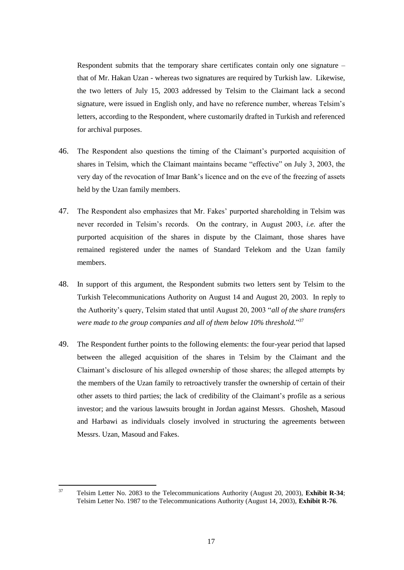Respondent submits that the temporary share certificates contain only one signature – that of Mr. Hakan Uzan - whereas two signatures are required by Turkish law. Likewise, the two letters of July 15, 2003 addressed by Telsim to the Claimant lack a second signature, were issued in English only, and have no reference number, whereas Telsim"s letters, according to the Respondent, where customarily drafted in Turkish and referenced for archival purposes.

- 46. The Respondent also questions the timing of the Claimant"s purported acquisition of shares in Telsim, which the Claimant maintains became "effective" on July 3, 2003, the very day of the revocation of Imar Bank"s licence and on the eve of the freezing of assets held by the Uzan family members.
- 47. The Respondent also emphasizes that Mr. Fakes" purported shareholding in Telsim was never recorded in Telsim"s records. On the contrary, in August 2003, *i.e.* after the purported acquisition of the shares in dispute by the Claimant, those shares have remained registered under the names of Standard Telekom and the Uzan family members.
- 48. In support of this argument, the Respondent submits two letters sent by Telsim to the Turkish Telecommunications Authority on August 14 and August 20, 2003. In reply to the Authority"s query, Telsim stated that until August 20, 2003 "*all of the share transfers were made to the group companies and all of them below 10% threshold.*" 37
- 49. The Respondent further points to the following elements: the four-year period that lapsed between the alleged acquisition of the shares in Telsim by the Claimant and the Claimant"s disclosure of his alleged ownership of those shares; the alleged attempts by the members of the Uzan family to retroactively transfer the ownership of certain of their other assets to third parties; the lack of credibility of the Claimant"s profile as a serious investor; and the various lawsuits brought in Jordan against Messrs. Ghosheh, Masoud and Harbawi as individuals closely involved in structuring the agreements between Messrs. Uzan, Masoud and Fakes.

 $37$ <sup>37</sup> Telsim Letter No. 2083 to the Telecommunications Authority (August 20, 2003), **Exhibit R-34**; Telsim Letter No. 1987 to the Telecommunications Authority (August 14, 2003), **Exhibit R-76**.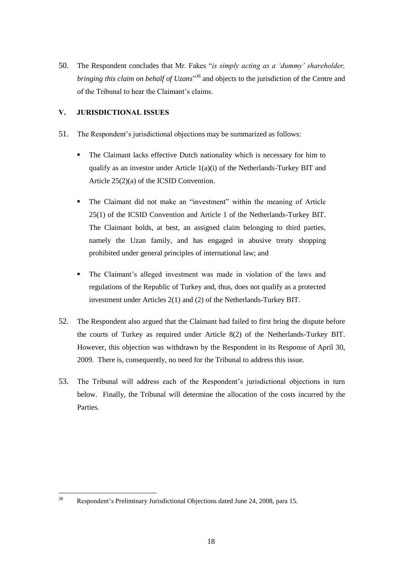50. The Respondent concludes that Mr. Fakes "*is simply acting as a "dummy" shareholder, bringing this claim on behalf of Uzans*" <sup>38</sup> and objects to the jurisdiction of the Centre and of the Tribunal to hear the Claimant"s claims.

# **V. JURISDICTIONAL ISSUES**

- 51. The Respondent"s jurisdictional objections may be summarized as follows:
	- The Claimant lacks effective Dutch nationality which is necessary for him to qualify as an investor under Article 1(a)(i) of the Netherlands-Turkey BIT and Article 25(2)(a) of the ICSID Convention.
	- The Claimant did not make an "investment" within the meaning of Article 25(1) of the ICSID Convention and Article 1 of the Netherlands-Turkey BIT. The Claimant holds, at best, an assigned claim belonging to third parties, namely the Uzan family, and has engaged in abusive treaty shopping prohibited under general principles of international law; and
	- The Claimant"s alleged investment was made in violation of the laws and regulations of the Republic of Turkey and, thus, does not qualify as a protected investment under Articles 2(1) and (2) of the Netherlands-Turkey BIT.
- 52. The Respondent also argued that the Claimant had failed to first bring the dispute before the courts of Turkey as required under Article 8(2) of the Netherlands-Turkey BIT. However, this objection was withdrawn by the Respondent in its Response of April 30, 2009. There is, consequently, no need for the Tribunal to address this issue.
- 53. The Tribunal will address each of the Respondent"s jurisdictional objections in turn below. Finally, the Tribunal will determine the allocation of the costs incurred by the **Parties**

 $38$ <sup>38</sup> Respondent"s Preliminary Jurisdictional Objections dated June 24, 2008, para 15.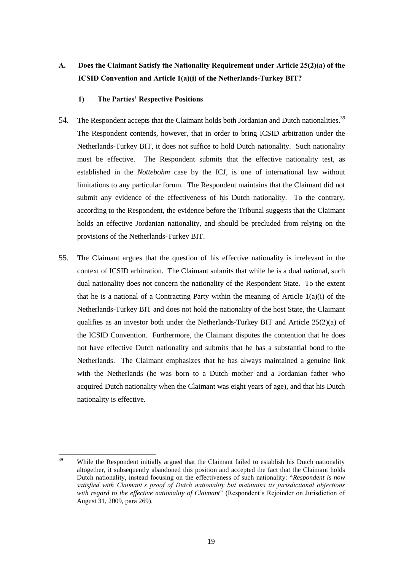# **A. Does the Claimant Satisfy the Nationality Requirement under Article 25(2)(a) of the ICSID Convention and Article 1(a)(i) of the Netherlands-Turkey BIT?**

# **1) The Parties' Respective Positions**

- 54. The Respondent accepts that the Claimant holds both Jordanian and Dutch nationalities.<sup>39</sup> The Respondent contends, however, that in order to bring ICSID arbitration under the Netherlands-Turkey BIT, it does not suffice to hold Dutch nationality. Such nationality must be effective. The Respondent submits that the effective nationality test, as established in the *Nottebohm* case by the ICJ, is one of international law without limitations to any particular forum. The Respondent maintains that the Claimant did not submit any evidence of the effectiveness of his Dutch nationality. To the contrary, according to the Respondent, the evidence before the Tribunal suggests that the Claimant holds an effective Jordanian nationality, and should be precluded from relying on the provisions of the Netherlands-Turkey BIT.
- 55. The Claimant argues that the question of his effective nationality is irrelevant in the context of ICSID arbitration. The Claimant submits that while he is a dual national, such dual nationality does not concern the nationality of the Respondent State. To the extent that he is a national of a Contracting Party within the meaning of Article  $1(a)(i)$  of the Netherlands-Turkey BIT and does not hold the nationality of the host State, the Claimant qualifies as an investor both under the Netherlands-Turkey BIT and Article 25(2)(a) of the ICSID Convention. Furthermore, the Claimant disputes the contention that he does not have effective Dutch nationality and submits that he has a substantial bond to the Netherlands. The Claimant emphasizes that he has always maintained a genuine link with the Netherlands (he was born to a Dutch mother and a Jordanian father who acquired Dutch nationality when the Claimant was eight years of age), and that his Dutch nationality is effective.

 $39$ While the Respondent initially argued that the Claimant failed to establish his Dutch nationality altogether, it subsequently abandoned this position and accepted the fact that the Claimant holds Dutch nationality, instead focusing on the effectiveness of such nationality: "*Respondent is now satisfied with Claimant"s proof of Dutch nationality but maintains its jurisdictional objections*  with regard to the effective nationality of Claimant<sup>"</sup> (Respondent's Rejoinder on Jurisdiction of August 31, 2009, para 269).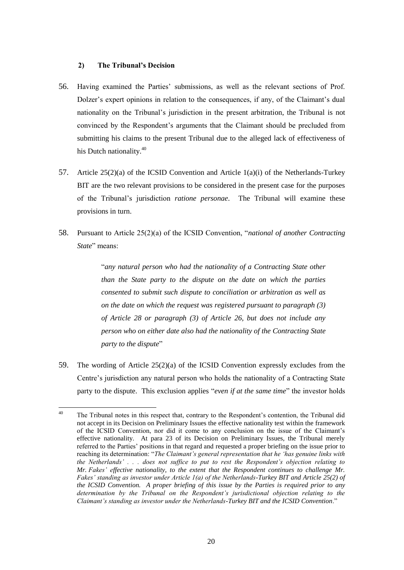# **2) The Tribunal's Decision**

- 56. Having examined the Parties" submissions, as well as the relevant sections of Prof. Dolzer's expert opinions in relation to the consequences, if any, of the Claimant's dual nationality on the Tribunal"s jurisdiction in the present arbitration, the Tribunal is not convinced by the Respondent"s arguments that the Claimant should be precluded from submitting his claims to the present Tribunal due to the alleged lack of effectiveness of his Dutch nationality.<sup>40</sup>
- 57. Article 25(2)(a) of the ICSID Convention and Article 1(a)(i) of the Netherlands-Turkey BIT are the two relevant provisions to be considered in the present case for the purposes of the Tribunal"s jurisdiction *ratione personae*. The Tribunal will examine these provisions in turn.
- 58. Pursuant to Article 25(2)(a) of the ICSID Convention, "*national of another Contracting State*" means:

"*any natural person who had the nationality of a Contracting State other than the State party to the dispute on the date on which the parties consented to submit such dispute to conciliation or arbitration as well as on the date on which the request was registered pursuant to paragraph (3) of Article 28 or paragraph (3) of Article 26, but does not include any person who on either date also had the nationality of the Contracting State party to the dispute*"

59. The wording of Article 25(2)(a) of the ICSID Convention expressly excludes from the Centre"s jurisdiction any natural person who holds the nationality of a Contracting State party to the dispute. This exclusion applies "*even if at the same time*" the investor holds

 $40$ The Tribunal notes in this respect that, contrary to the Respondent's contention, the Tribunal did not accept in its Decision on Preliminary Issues the effective nationality test within the framework of the ICSID Convention, nor did it come to any conclusion on the issue of the Claimant"s effective nationality. At para 23 of its Decision on Preliminary Issues, the Tribunal merely referred to the Parties" positions in that regard and requested a proper briefing on the issue prior to reaching its determination: "*The Claimant"s general representation that he "has genuine links with the Netherlands" . . . does not suffice to put to rest the Respondent"s objection relating to Mr. Fakes" effective nationality, to the extent that the Respondent continues to challenge Mr. Fakes" standing as investor under Article 1(a) of the Netherlands-Turkey BIT and Article 25(2) of the ICSID Convention. A proper briefing of this issue by the Parties is required prior to any determination by the Tribunal on the Respondent"s jurisdictional objection relating to the Claimant"s standing as investor under the Netherlands-Turkey BIT and the ICSID Convention*."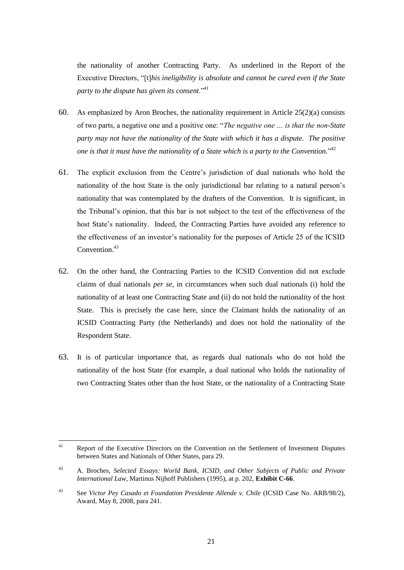the nationality of another Contracting Party. As underlined in the Report of the Executive Directors, "[t]*his ineligibility is absolute and cannot be cured even if the State party to the dispute has given its consent*."<sup>41</sup>

- 60. As emphasized by Aron Broches, the nationality requirement in Article  $25(2)(a)$  consists of two parts, a negative one and a positive one: "*The negative one … is that the non-State party may not have the nationality of the State with which it has a dispute. The positive one is that it must have the nationality of a State which is a party to the Convention.*" 42
- 61. The explicit exclusion from the Centre"s jurisdiction of dual nationals who hold the nationality of the host State is the only jurisdictional bar relating to a natural person"s nationality that was contemplated by the drafters of the Convention. It is significant, in the Tribunal"s opinion, that this bar is not subject to the test of the effectiveness of the host State"s nationality. Indeed, the Contracting Parties have avoided any reference to the effectiveness of an investor"s nationality for the purposes of Article 25 of the ICSID  $Convention<sup>43</sup>$
- 62. On the other hand, the Contracting Parties to the ICSID Convention did not exclude claims of dual nationals *per se*, in circumstances when such dual nationals (i) hold the nationality of at least one Contracting State and (ii) do not hold the nationality of the host State. This is precisely the case here, since the Claimant holds the nationality of an ICSID Contracting Party (the Netherlands) and does not hold the nationality of the Respondent State.
- 63. It is of particular importance that, as regards dual nationals who do not hold the nationality of the host State (for example, a dual national who holds the nationality of two Contracting States other than the host State, or the nationality of a Contracting State

 $41$ <sup>41</sup> Report of the Executive Directors on the Convention on the Settlement of Investment Disputes between States and Nationals of Other States, para 29.

<sup>42</sup> A. Broches, *Selected Essays: World Bank, ICSID, and Other Subjects of Public and Private International Law*, Martinus Nijhoff Publishers (1995), at p. 202, **Exhibit C-66**.

<sup>43</sup> See *Victor Pey Casado et Foundation Presidente Allende v. Chile* (ICSID Case No. ARB/98/2), Award, May 8, 2008, para 241.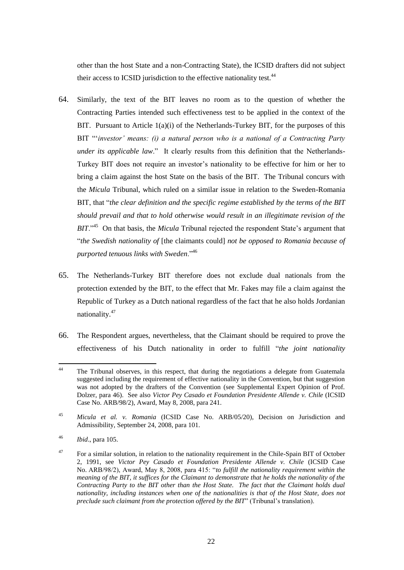other than the host State and a non-Contracting State), the ICSID drafters did not subject their access to ICSID jurisdiction to the effective nationality test.<sup>44</sup>

- 64. Similarly, the text of the BIT leaves no room as to the question of whether the Contracting Parties intended such effectiveness test to be applied in the context of the BIT. Pursuant to Article  $1(a)(i)$  of the Netherlands-Turkey BIT, for the purposes of this BIT ""*investor" means: (i) a natural person who is a national of a Contracting Party under its applicable law.*" It clearly results from this definition that the Netherlands-Turkey BIT does not require an investor"s nationality to be effective for him or her to bring a claim against the host State on the basis of the BIT. The Tribunal concurs with the *Micula* Tribunal, which ruled on a similar issue in relation to the Sweden-Romania BIT, that "*the clear definition and the specific regime established by the terms of the BIT should prevail and that to hold otherwise would result in an illegitimate revision of the BIT*."<sup>45</sup> On that basis, the *Micula* Tribunal rejected the respondent State's argument that "*the Swedish nationality of* [the claimants could] *not be opposed to Romania because of purported tenuous links with Sweden*."<sup>46</sup>
- 65. The Netherlands-Turkey BIT therefore does not exclude dual nationals from the protection extended by the BIT, to the effect that Mr. Fakes may file a claim against the Republic of Turkey as a Dutch national regardless of the fact that he also holds Jordanian nationality.<sup>47</sup>
- 66. The Respondent argues, nevertheless, that the Claimant should be required to prove the effectiveness of his Dutch nationality in order to fulfill "*the joint nationality*

 $44$ The Tribunal observes, in this respect, that during the negotiations a delegate from Guatemala suggested including the requirement of effective nationality in the Convention, but that suggestion was not adopted by the drafters of the Convention (see Supplemental Expert Opinion of Prof. Dolzer, para 46). See also *Victor Pey Casado et Foundation Presidente Allende v. Chile* (ICSID Case No. ARB/98/2), Award, May 8, 2008, para 241.

<sup>45</sup> *Micula et al. v. Romania* (ICSID Case No. ARB/05/20), Decision on Jurisdiction and Admissibility, September 24, 2008, para 101.

<sup>46</sup> *Ibid*., para 105.

<sup>&</sup>lt;sup>47</sup> For a similar solution, in relation to the nationality requirement in the Chile-Spain BIT of October 2, 1991, see *Victor Pey Casado et Foundation Presidente Allende v. Chile* (ICSID Case No. ARB/98/2), Award, May 8, 2008, para 415: "*to fulfill the nationality requirement within the meaning of the BIT, it suffices for the Claimant to demonstrate that he holds the nationality of the Contracting Party to the BIT other than the Host State. The fact that the Claimant holds dual nationality, including instances when one of the nationalities is that of the Host State, does not preclude such claimant from the protection offered by the BIT*" (Tribunal's translation).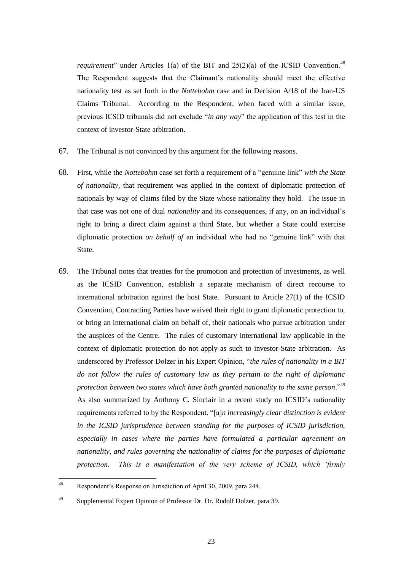*requirement*" under Articles 1(a) of the BIT and  $25(2)(a)$  of the ICSID Convention.<sup>48</sup> The Respondent suggests that the Claimant"s nationality should meet the effective nationality test as set forth in the *Nottebohm* case and in Decision A/18 of the Iran-US Claims Tribunal. According to the Respondent, when faced with a similar issue, previous ICSID tribunals did not exclude "*in any way*" the application of this test in the context of investor-State arbitration.

- 67. The Tribunal is not convinced by this argument for the following reasons.
- 68. First, while the *Nottebohm* case set forth a requirement of a "genuine link" *with the State of nationality*, that requirement was applied in the context of diplomatic protection of nationals by way of claims filed by the State whose nationality they hold. The issue in that case was not one of dual *nationality* and its consequences, if any, on an individual"s right to bring a direct claim against a third State, but whether a State could exercise diplomatic protection *on behalf of* an individual who had no "genuine link" with that State.
- 69. The Tribunal notes that treaties for the promotion and protection of investments, as well as the ICSID Convention, establish a separate mechanism of direct recourse to international arbitration against the host State. Pursuant to Article 27(1) of the ICSID Convention, Contracting Parties have waived their right to grant diplomatic protection to, or bring an international claim on behalf of, their nationals who pursue arbitration under the auspices of the Centre. The rules of customary international law applicable in the context of diplomatic protection do not apply as such to investor-State arbitration. As underscored by Professor Dolzer in his Expert Opinion, "*the rules of nationality in a BIT do not follow the rules of customary law as they pertain to the right of diplomatic protection between two states which have both granted nationality to the same person*."<sup>49</sup> As also summarized by Anthony C. Sinclair in a recent study on ICSID"s nationality requirements referred to by the Respondent, "[a]*n increasingly clear distinction is evident in the ICSID jurisprudence between standing for the purposes of ICSID jurisdiction, especially in cases where the parties have formulated a particular agreement on nationality, and rules governing the nationality of claims for the purposes of diplomatic protection. This is a manifestation of the very scheme of ICSID, which "firmly*

<sup>48</sup> Respondent's Response on Jurisdiction of April 30, 2009, para 244.

<sup>49</sup> Supplemental Expert Opinion of Professor Dr. Dr. Rudolf Dolzer, para 39.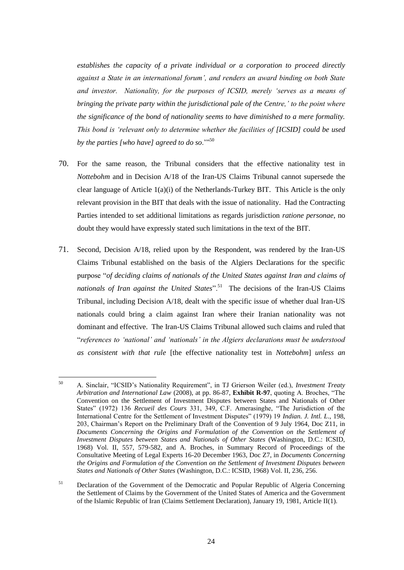*establishes the capacity of a private individual or a corporation to proceed directly against a State in an international forum", and renders an award binding on both State and investor. Nationality, for the purposes of ICSID, merely "serves as a means of bringing the private party within the jurisdictional pale of the Centre," to the point where the significance of the bond of nationality seems to have diminished to a mere formality. This bond is "relevant only to determine whether the facilities of [ICSID] could be used by the parties [who have] agreed to do so*.""<sup>50</sup>

- 70. For the same reason, the Tribunal considers that the effective nationality test in *Nottebohm* and in Decision A/18 of the Iran-US Claims Tribunal cannot supersede the clear language of Article  $1(a)(i)$  of the Netherlands-Turkey BIT. This Article is the only relevant provision in the BIT that deals with the issue of nationality. Had the Contracting Parties intended to set additional limitations as regards jurisdiction *ratione personae*, no doubt they would have expressly stated such limitations in the text of the BIT.
- 71. Second, Decision A/18, relied upon by the Respondent, was rendered by the Iran-US Claims Tribunal established on the basis of the Algiers Declarations for the specific purpose "*of deciding claims of nationals of the United States against Iran and claims of*  nationals of Iran against the United States".<sup>51</sup> The decisions of the Iran-US Claims Tribunal, including Decision A/18, dealt with the specific issue of whether dual Iran-US nationals could bring a claim against Iran where their Iranian nationality was not dominant and effective. The Iran-US Claims Tribunal allowed such claims and ruled that "*references to "national" and "nationals" in the Algiers declarations must be understood as consistent with that rule* [the effective nationality test in *Nottebohm*] *unless an*

<sup>50</sup> <sup>50</sup> A. Sinclair, "ICSID"s Nationality Requirement", in TJ Grierson Weiler (ed.), *Investment Treaty Arbitration and International Law* (2008), at pp. 86-87, **Exhibit R-97**, quoting A. Broches, "The Convention on the Settlement of Investment Disputes between States and Nationals of Other States" (1972) 136 *Recueil des Cours* 331, 349, C.F. Amerasinghe, "The Jurisdiction of the International Centre for the Settlement of Investment Disputes" (1979) 19 *Indian. J. Intl. L*., 198, 203, Chairman"s Report on the Preliminary Draft of the Convention of 9 July 1964, Doc Z11, in *Documents Concerning the Origins and Formulation of the Convention on the Settlement of Investment Disputes between States and Nationals of Other States* (Washington, D.C.: ICSID, 1968) Vol. II, 557, 579-582, and A. Broches, in Summary Record of Proceedings of the Consultative Meeting of Legal Experts 16-20 December 1963, Doc Z7, in *Documents Concerning the Origins and Formulation of the Convention on the Settlement of Investment Disputes between States and Nationals of Other States* (Washington, D.C.: ICSID, 1968) Vol. II, 236, 256.

<sup>&</sup>lt;sup>51</sup> Declaration of the Government of the Democratic and Popular Republic of Algeria Concerning the Settlement of Claims by the Government of the United States of America and the Government of the Islamic Republic of Iran (Claims Settlement Declaration), January 19, 1981, Article II(1).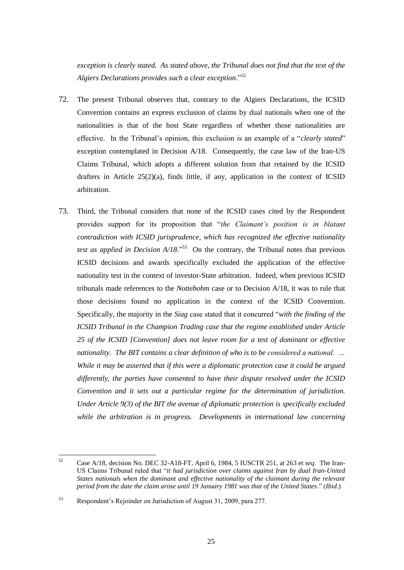*exception is clearly stated. As stated above, the Tribunal does not find that the text of the Algiers Declarations provides such a clear exception*."<sup>52</sup>

- 72. The present Tribunal observes that, contrary to the Algiers Declarations, the ICSID Convention contains an express exclusion of claims by dual nationals when one of the nationalities is that of the host State regardless of whether those nationalities are effective. In the Tribunal"s opinion, this exclusion is an example of a "*clearly stated*" exception contemplated in Decision A/18. Consequently, the case law of the Iran-US Claims Tribunal, which adopts a different solution from that retained by the ICSID drafters in Article  $25(2)(a)$ , finds little, if any, application in the context of ICSID arbitration.
- 73. Third, the Tribunal considers that none of the ICSID cases cited by the Respondent provides support for its proposition that "*the Claimant"s position is in blatant contradiction with ICSID jurisprudence, which has recognized the effective nationality test as applied in Decision A/18*."<sup>53</sup> On the contrary, the Tribunal notes that previous ICSID decisions and awards specifically excluded the application of the effective nationality test in the context of investor-State arbitration. Indeed, when previous ICSID tribunals made references to the *Nottebohm* case or to Decision A/18, it was to rule that those decisions found no application in the context of the ICSID Convention. Specifically, the majority in the *Siag* case stated that it concurred "*with the finding of the ICSID Tribunal in the Champion Trading case that the regime established under Article 25 of the ICSID [Convention] does not leave room for a test of dominant or effective nationality. The BIT contains a clear definition of who is to be considered a national. … While it may be asserted that if this were a diplomatic protection case it could be argued differently, the parties have consented to have their dispute resolved under the ICSID Convention and it sets out a particular regime for the determination of jurisdiction. Under Article 9(3) of the BIT the avenue of diplomatic protection is specifically excluded while the arbitration is in progress. Developments in international law concerning*

 $52$ <sup>52</sup> Case A/18, decision No. DEC 32-A18-FT, April 6, 1984, 5 IUSCTR 251, at 263 et *seq*. The Iran-US Claims Tribunal ruled that "*it had jurisdiction over claims against Iran by dual Iran-United States nationals when the dominant and effective nationality of the claimant during the relevant period from the date the claim arose until 19 January 1981 was that of the United States*." (*Ibid*.)

<sup>53</sup> Respondent"s Rejoinder on Jurisdiction of August 31, 2009, para 277.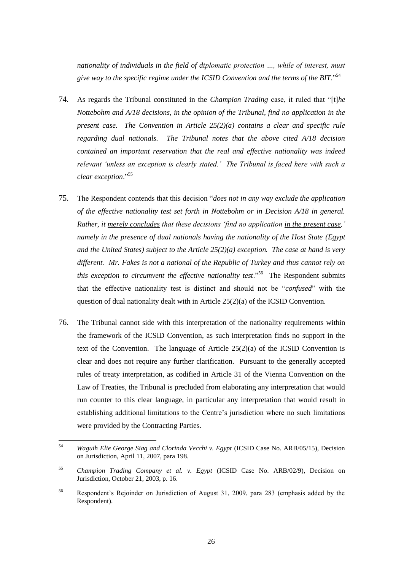*nationality of individuals in the field of diplomatic protection …, while of interest, must give way to the specific regime under the ICSID Convention and the terms of the BIT*."<sup>54</sup>

- 74. As regards the Tribunal constituted in the *Champion Trading* case, it ruled that "[t]*he Nottebohm and A/18 decisions, in the opinion of the Tribunal, find no application in the present case. The Convention in Article 25(2)(a) contains a clear and specific rule regarding dual nationals. The Tribunal notes that the above cited A/18 decision contained an important reservation that the real and effective nationality was indeed relevant "unless an exception is clearly stated." The Tribunal is faced here with such a clear exception*."<sup>55</sup>
- 75. The Respondent contends that this decision "*does not in any way exclude the application of the effective nationality test set forth in Nottebohm or in Decision A/18 in general. Rather, it merely concludes that these decisions "find no application in the present case," namely in the presence of dual nationals having the nationality of the Host State (Egypt and the United States) subject to the Article 25(2)(a) exception. The case at hand is very different. Mr. Fakes is not a national of the Republic of Turkey and thus cannot rely on*  this exception to circumvent the effective nationality test.<sup>556</sup> The Respondent submits that the effective nationality test is distinct and should not be "*confused*" with the question of dual nationality dealt with in Article 25(2)(a) of the ICSID Convention.
- 76. The Tribunal cannot side with this interpretation of the nationality requirements within the framework of the ICSID Convention, as such interpretation finds no support in the text of the Convention. The language of Article 25(2)(a) of the ICSID Convention is clear and does not require any further clarification. Pursuant to the generally accepted rules of treaty interpretation, as codified in Article 31 of the Vienna Convention on the Law of Treaties, the Tribunal is precluded from elaborating any interpretation that would run counter to this clear language, in particular any interpretation that would result in establishing additional limitations to the Centre"s jurisdiction where no such limitations were provided by the Contracting Parties.

<sup>54</sup> <sup>54</sup> *Waguih Elie George Siag and Clorinda Vecchi v. Egypt* (ICSID Case No. ARB/05/15), Decision on Jurisdiction, April 11, 2007, para 198.

<sup>55</sup> *Champion Trading Company et al. v. Egypt* (ICSID Case No. ARB/02/9), Decision on Jurisdiction, October 21, 2003, p. 16.

<sup>56</sup> Respondent"s Rejoinder on Jurisdiction of August 31, 2009, para 283 (emphasis added by the Respondent).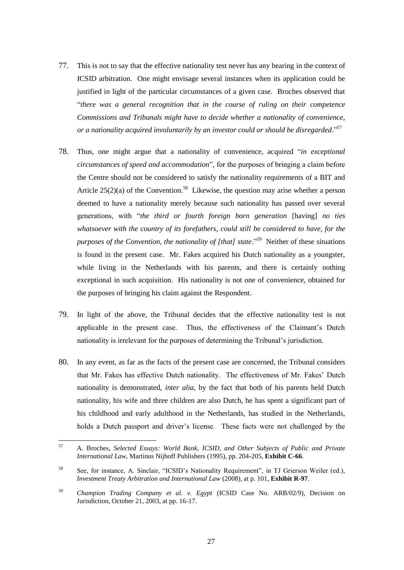- 77. This is not to say that the effective nationality test never has any bearing in the context of ICSID arbitration. One might envisage several instances when its application could be justified in light of the particular circumstances of a given case. Broches observed that "*there was a general recognition that in the course of ruling on their competence Commissions and Tribunals might have to decide whether a nationality of convenience, or a nationality acquired involuntarily by an investor could or should be disregarded*."<sup>57</sup>
- 78. Thus, one might argue that a nationality of convenience, acquired "*in exceptional circumstances of speed and accommodation*", for the purposes of bringing a claim before the Centre should not be considered to satisfy the nationality requirements of a BIT and Article  $25(2)(a)$  of the Convention.<sup>58</sup> Likewise, the question may arise whether a person deemed to have a nationality merely because such nationality has passed over several generations, with "*the third or fourth foreign born generation* [having] *no ties whatsoever with the country of its forefathers, could still be considered to have, for the*  purposes of the Convention, the nationality of [that] state.<sup>"59</sup> Neither of these situations is found in the present case. Mr. Fakes acquired his Dutch nationality as a youngster, while living in the Netherlands with his parents, and there is certainly nothing exceptional in such acquisition. His nationality is not one of convenience, obtained for the purposes of bringing his claim against the Respondent.
- 79. In light of the above, the Tribunal decides that the effective nationality test is not applicable in the present case. Thus, the effectiveness of the Claimant"s Dutch nationality is irrelevant for the purposes of determining the Tribunal"s jurisdiction.
- 80. In any event, as far as the facts of the present case are concerned, the Tribunal considers that Mr. Fakes has effective Dutch nationality. The effectiveness of Mr. Fakes" Dutch nationality is demonstrated, *inter alia*, by the fact that both of his parents held Dutch nationality, his wife and three children are also Dutch, he has spent a significant part of his childhood and early adulthood in the Netherlands, has studied in the Netherlands, holds a Dutch passport and driver"s license. These facts were not challenged by the

<sup>57</sup> <sup>57</sup> A. Broches, *Selected Essays: World Bank, ICSID, and Other Subjects of Public and Private International Law*, Martinus Nijhoff Publishers (1995), pp. 204-205, **Exhibit C-66**.

<sup>58</sup> See, for instance, A. Sinclair, "ICSID"s Nationality Requirement", in TJ Grierson Weiler (ed.), *Investment Treaty Arbitration and International Law* (2008), at p. 101, **Exhibit R-97**.

<sup>59</sup> *Champion Trading Company et al. v. Egypt* (ICSID Case No. ARB/02/9), Decision on Jurisdiction, October 21, 2003, at pp. 16-17.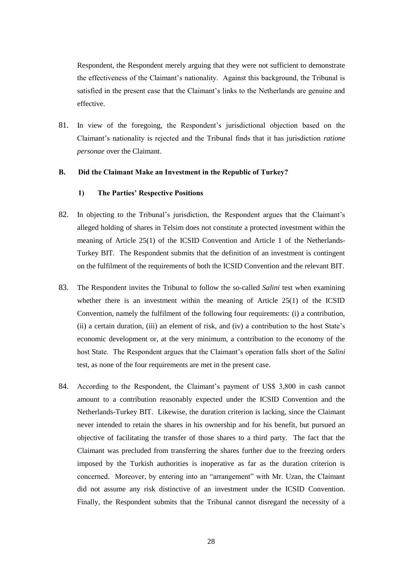Respondent, the Respondent merely arguing that they were not sufficient to demonstrate the effectiveness of the Claimant"s nationality. Against this background, the Tribunal is satisfied in the present case that the Claimant's links to the Netherlands are genuine and effective.

81. In view of the foregoing, the Respondent"s jurisdictional objection based on the Claimant"s nationality is rejected and the Tribunal finds that it has jurisdiction *ratione personae* over the Claimant.

# **B. Did the Claimant Make an Investment in the Republic of Turkey?**

# **1) The Parties' Respective Positions**

- 82. In objecting to the Tribunal"s jurisdiction, the Respondent argues that the Claimant"s alleged holding of shares in Telsim does not constitute a protected investment within the meaning of Article 25(1) of the ICSID Convention and Article 1 of the Netherlands-Turkey BIT. The Respondent submits that the definition of an investment is contingent on the fulfilment of the requirements of both the ICSID Convention and the relevant BIT.
- 83. The Respondent invites the Tribunal to follow the so-called *Salini* test when examining whether there is an investment within the meaning of Article 25(1) of the ICSID Convention, namely the fulfilment of the following four requirements: (i) a contribution, (ii) a certain duration, (iii) an element of risk, and (iv) a contribution to the host State"s economic development or, at the very minimum, a contribution to the economy of the host State. The Respondent argues that the Claimant's operation falls short of the *Salini* test, as none of the four requirements are met in the present case.
- 84. According to the Respondent, the Claimant's payment of US\$ 3,800 in cash cannot amount to a contribution reasonably expected under the ICSID Convention and the Netherlands-Turkey BIT. Likewise, the duration criterion is lacking, since the Claimant never intended to retain the shares in his ownership and for his benefit, but pursued an objective of facilitating the transfer of those shares to a third party. The fact that the Claimant was precluded from transferring the shares further due to the freezing orders imposed by the Turkish authorities is inoperative as far as the duration criterion is concerned. Moreover, by entering into an "arrangement" with Mr. Uzan, the Claimant did not assume any risk distinctive of an investment under the ICSID Convention. Finally, the Respondent submits that the Tribunal cannot disregard the necessity of a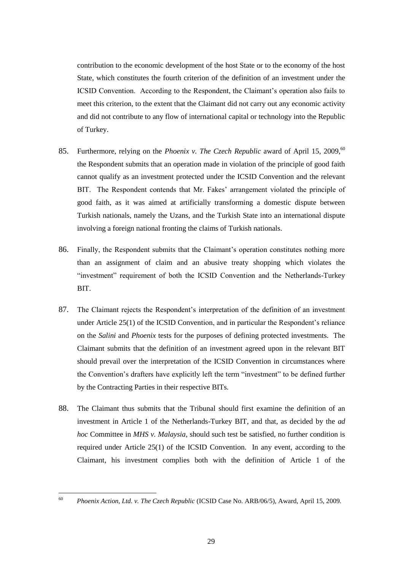contribution to the economic development of the host State or to the economy of the host State, which constitutes the fourth criterion of the definition of an investment under the ICSID Convention. According to the Respondent, the Claimant"s operation also fails to meet this criterion, to the extent that the Claimant did not carry out any economic activity and did not contribute to any flow of international capital or technology into the Republic of Turkey.

- 85. Furthermore, relying on the *Phoenix v. The Czech Republic* award of April 15, 2009,<sup>60</sup> the Respondent submits that an operation made in violation of the principle of good faith cannot qualify as an investment protected under the ICSID Convention and the relevant BIT. The Respondent contends that Mr. Fakes' arrangement violated the principle of good faith, as it was aimed at artificially transforming a domestic dispute between Turkish nationals, namely the Uzans, and the Turkish State into an international dispute involving a foreign national fronting the claims of Turkish nationals.
- 86. Finally, the Respondent submits that the Claimant"s operation constitutes nothing more than an assignment of claim and an abusive treaty shopping which violates the "investment" requirement of both the ICSID Convention and the Netherlands-Turkey BIT.
- 87. The Claimant rejects the Respondent's interpretation of the definition of an investment under Article  $25(1)$  of the ICSID Convention, and in particular the Respondent's reliance on the *Salini* and *Phoenix* tests for the purposes of defining protected investments. The Claimant submits that the definition of an investment agreed upon in the relevant BIT should prevail over the interpretation of the ICSID Convention in circumstances where the Convention"s drafters have explicitly left the term "investment" to be defined further by the Contracting Parties in their respective BITs.
- 88. The Claimant thus submits that the Tribunal should first examine the definition of an investment in Article 1 of the Netherlands-Turkey BIT, and that, as decided by the *ad hoc* Committee in *MHS v. Malaysia*, should such test be satisfied, no further condition is required under Article 25(1) of the ICSID Convention. In any event, according to the Claimant, his investment complies both with the definition of Article 1 of the

<sup>60</sup> <sup>60</sup> *Phoenix Action, Ltd. v. The Czech Republic* (ICSID Case No. ARB/06/5), Award, April 15, 2009.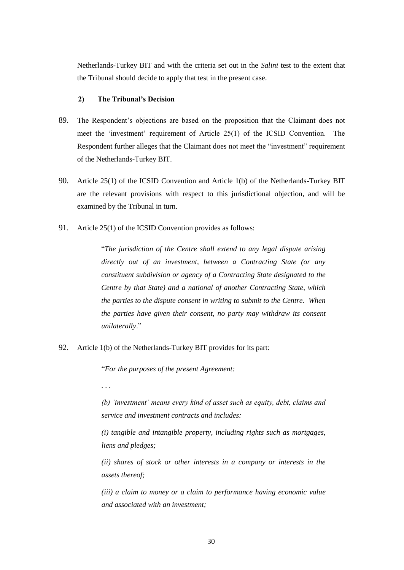Netherlands-Turkey BIT and with the criteria set out in the *Salini* test to the extent that the Tribunal should decide to apply that test in the present case.

# **2) The Tribunal's Decision**

- 89. The Respondent"s objections are based on the proposition that the Claimant does not meet the 'investment' requirement of Article 25(1) of the ICSID Convention. The Respondent further alleges that the Claimant does not meet the "investment" requirement of the Netherlands-Turkey BIT.
- 90. Article 25(1) of the ICSID Convention and Article 1(b) of the Netherlands-Turkey BIT are the relevant provisions with respect to this jurisdictional objection, and will be examined by the Tribunal in turn.
- 91. Article 25(1) of the ICSID Convention provides as follows:

"*The jurisdiction of the Centre shall extend to any legal dispute arising directly out of an investment, between a Contracting State (or any constituent subdivision or agency of a Contracting State designated to the Centre by that State) and a national of another Contracting State, which the parties to the dispute consent in writing to submit to the Centre. When the parties have given their consent, no party may withdraw its consent unilaterally*."

92. Article 1(b) of the Netherlands-Turkey BIT provides for its part:

"*For the purposes of the present Agreement:*

*. . .* 

*(b) "investment" means every kind of asset such as equity, debt, claims and service and investment contracts and includes:*

*(i) tangible and intangible property, including rights such as mortgages, liens and pledges;*

*(ii) shares of stock or other interests in a company or interests in the assets thereof;*

*(iii) a claim to money or a claim to performance having economic value and associated with an investment;*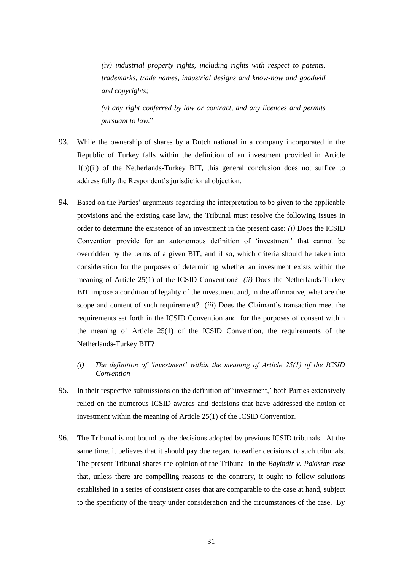*(iv) industrial property rights, including rights with respect to patents, trademarks, trade names, industrial designs and know-how and goodwill and copyrights;*

*(v) any right conferred by law or contract, and any licences and permits pursuant to law.*"

- 93. While the ownership of shares by a Dutch national in a company incorporated in the Republic of Turkey falls within the definition of an investment provided in Article 1(b)(ii) of the Netherlands-Turkey BIT, this general conclusion does not suffice to address fully the Respondent's jurisdictional objection.
- 94. Based on the Parties' arguments regarding the interpretation to be given to the applicable provisions and the existing case law, the Tribunal must resolve the following issues in order to determine the existence of an investment in the present case: *(i)* Does the ICSID Convention provide for an autonomous definition of "investment" that cannot be overridden by the terms of a given BIT, and if so, which criteria should be taken into consideration for the purposes of determining whether an investment exists within the meaning of Article 25(1) of the ICSID Convention? *(ii)* Does the Netherlands-Turkey BIT impose a condition of legality of the investment and, in the affirmative, what are the scope and content of such requirement? *(iii)* Does the Claimant's transaction meet the requirements set forth in the ICSID Convention and, for the purposes of consent within the meaning of Article 25(1) of the ICSID Convention, the requirements of the Netherlands-Turkey BIT?
	- *(i) The definition of "investment" within the meaning of Article 25(1) of the ICSID Convention*
- 95. In their respective submissions on the definition of "investment," both Parties extensively relied on the numerous ICSID awards and decisions that have addressed the notion of investment within the meaning of Article 25(1) of the ICSID Convention.
- 96. The Tribunal is not bound by the decisions adopted by previous ICSID tribunals. At the same time, it believes that it should pay due regard to earlier decisions of such tribunals. The present Tribunal shares the opinion of the Tribunal in the *Bayindir v. Pakistan* case that, unless there are compelling reasons to the contrary, it ought to follow solutions established in a series of consistent cases that are comparable to the case at hand, subject to the specificity of the treaty under consideration and the circumstances of the case. By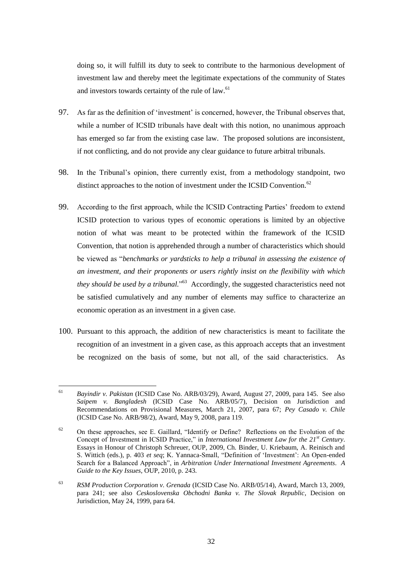doing so, it will fulfill its duty to seek to contribute to the harmonious development of investment law and thereby meet the legitimate expectations of the community of States and investors towards certainty of the rule of law.<sup>61</sup>

- 97. As far as the definition of "investment" is concerned, however, the Tribunal observes that, while a number of ICSID tribunals have dealt with this notion, no unanimous approach has emerged so far from the existing case law. The proposed solutions are inconsistent, if not conflicting, and do not provide any clear guidance to future arbitral tribunals.
- 98. In the Tribunal"s opinion, there currently exist, from a methodology standpoint, two distinct approaches to the notion of investment under the ICSID Convention. $62$
- 99. According to the first approach, while the ICSID Contracting Parties' freedom to extend ICSID protection to various types of economic operations is limited by an objective notion of what was meant to be protected within the framework of the ICSID Convention, that notion is apprehended through a number of characteristics which should be viewed as "*benchmarks or yardsticks to help a tribunal in assessing the existence of an investment, and their proponents or users rightly insist on the flexibility with which they should be used by a tribunal.*" 63 Accordingly, the suggested characteristics need not be satisfied cumulatively and any number of elements may suffice to characterize an economic operation as an investment in a given case.
- 100. Pursuant to this approach, the addition of new characteristics is meant to facilitate the recognition of an investment in a given case, as this approach accepts that an investment be recognized on the basis of some, but not all, of the said characteristics. As

 $61$ <sup>61</sup> *Bayindir v. Pakistan* (ICSID Case No. ARB/03/29), Award, August 27, 2009, para 145. See also *Saipem v. Bangladesh* (ICSID Case No. ARB/05/7), Decision on Jurisdiction and Recommendations on Provisional Measures, March 21, 2007, para 67; *Pey Casado v. Chile* (ICSID Case No. ARB/98/2), Award, May 9, 2008, para 119.

<sup>&</sup>lt;sup>62</sup> On these approaches, see E. Gaillard, "Identify or Define? Reflections on the Evolution of the Concept of Investment in ICSID Practice," in *International Investment Law for the 21st Century*. Essays in Honour of Christoph Schreuer, OUP, 2009, Ch. Binder, U. Kriebaum, A. Reinisch and S. Wittich (eds.), p. 403 *et seq*; K. Yannaca-Small, "Definition of "Investment": An Open-ended Search for a Balanced Approach", in *Arbitration Under International Investment Agreements*. *A Guide to the Key Issues*, OUP, 2010, p. 243.

<sup>63</sup> *RSM Production Corporation v. Grenada* (ICSID Case No. ARB/05/14), Award, March 13, 2009, para 241; see also *Ceskoslovenska Obchodni Banka v. The Slovak Republic*, Decision on Jurisdiction, May 24, 1999, para 64.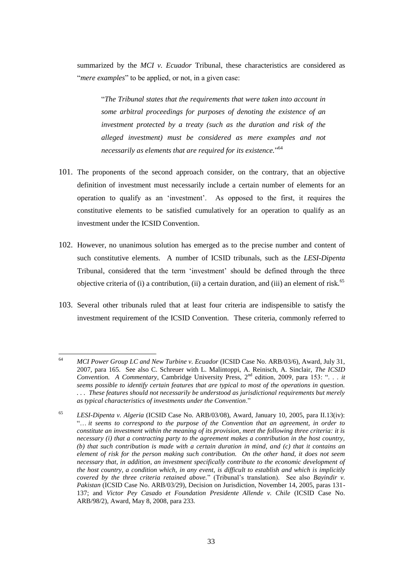summarized by the *MCI v. Ecuador* Tribunal, these characteristics are considered as "*mere examples*" to be applied, or not, in a given case:

"*The Tribunal states that the requirements that were taken into account in some arbitral proceedings for purposes of denoting the existence of an investment protected by a treaty (such as the duration and risk of the alleged investment) must be considered as mere examples and not necessarily as elements that are required for its existence.*" 64

- 101. The proponents of the second approach consider, on the contrary, that an objective definition of investment must necessarily include a certain number of elements for an operation to qualify as an "investment". As opposed to the first, it requires the constitutive elements to be satisfied cumulatively for an operation to qualify as an investment under the ICSID Convention.
- 102. However, no unanimous solution has emerged as to the precise number and content of such constitutive elements. A number of ICSID tribunals, such as the *LESI-Dipenta* Tribunal, considered that the term "investment" should be defined through the three objective criteria of (i) a contribution, (ii) a certain duration, and (iii) an element of risk. $65$
- 103. Several other tribunals ruled that at least four criteria are indispensible to satisfy the investment requirement of the ICSID Convention. These criteria, commonly referred to

<sup>64</sup> <sup>64</sup> *MCI Power Group LC and New Turbine v. Ecuador* (ICSID Case No. ARB/03/6), Award, July 31, 2007, para 165. See also C. Schreuer with L. Malintoppi, A. Reinisch, A. Sinclair, *The ICSID Convention. A Commentary*, Cambridge University Press, 2<sup>nd</sup> edition, 2009, para 153: ". . . *it seems possible to identify certain features that are typical to most of the operations in question. . . . These features should not necessarily be understood as jurisdictional requirements but merely as typical characteristics of investments under the Convention*."

<sup>65</sup> *LESI-Dipenta v. Algeria* (ICSID Case No. ARB/03/08), Award, January 10, 2005, para II.13(iv): "… *it seems to correspond to the purpose of the Convention that an agreement, in order to constitute an investment within the meaning of its provision, meet the following three criteria: it is necessary (i) that a contracting party to the agreement makes a contribution in the host country, (b) that such contribution is made with a certain duration in mind, and (c) that it contains an element of risk for the person making such contribution. On the other hand, it does not seem necessary that, in addition, an investment specifically contribute to the economic development of the host country, a condition which, in any event, is difficult to establish and which is implicitly covered by the three criteria retained above.*" (Tribunal"s translation). See also *Bayindir v. Pakistan* (ICSID Case No. ARB/03/29), Decision on Jurisdiction, November 14, 2005, paras 131- 137; and *Victor Pey Casado et Foundation Presidente Allende v. Chile* (ICSID Case No. ARB/98/2), Award, May 8, 2008, para 233.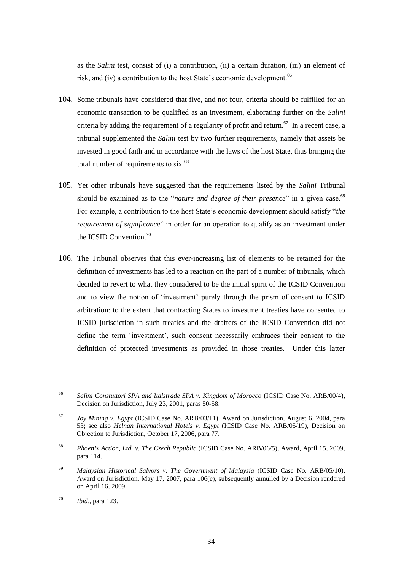as the *Salini* test, consist of (i) a contribution, (ii) a certain duration, (iii) an element of risk, and (iv) a contribution to the host State's economic development.<sup>66</sup>

- 104. Some tribunals have considered that five, and not four, criteria should be fulfilled for an economic transaction to be qualified as an investment, elaborating further on the *Salini*  criteria by adding the requirement of a regularity of profit and return.<sup>67</sup> In a recent case, a tribunal supplemented the *Salini* test by two further requirements, namely that assets be invested in good faith and in accordance with the laws of the host State, thus bringing the total number of requirements to  $s$ ix.<sup>68</sup>
- 105. Yet other tribunals have suggested that the requirements listed by the *Salini* Tribunal should be examined as to the "*nature and degree of their presence*" in a given case.<sup>69</sup> For example, a contribution to the host State's economic development should satisfy "*the requirement of significance*" in order for an operation to qualify as an investment under the ICSID Convention.<sup>70</sup>
- 106. The Tribunal observes that this ever-increasing list of elements to be retained for the definition of investments has led to a reaction on the part of a number of tribunals, which decided to revert to what they considered to be the initial spirit of the ICSID Convention and to view the notion of "investment" purely through the prism of consent to ICSID arbitration: to the extent that contracting States to investment treaties have consented to ICSID jurisdiction in such treaties and the drafters of the ICSID Convention did not define the term "investment", such consent necessarily embraces their consent to the definition of protected investments as provided in those treaties. Under this latter

<sup>66</sup> Salini Constuttori SPA and Italstrade SPA v. Kingdom of Morocco (ICSID Case No. ARB/00/4), Decision on Jurisdiction, July 23, 2001, paras 50-58.

<sup>67</sup> *Joy Mining v. Egypt* (ICSID Case No. ARB/03/11), Award on Jurisdiction, August 6, 2004, para 53; see also *Helnan International Hotels v. Egypt* (ICSID Case No. ARB/05/19), Decision on Objection to Jurisdiction, October 17, 2006, para 77.

<sup>68</sup> *Phoenix Action, Ltd. v. The Czech Republic* (ICSID Case No. ARB/06/5), Award, April 15, 2009, para 114.

<sup>69</sup> *Malaysian Historical Salvors v. The Government of Malaysia* (ICSID Case No. ARB/05/10), Award on Jurisdiction, May 17, 2007, para 106(e), subsequently annulled by a Decision rendered on April 16, 2009.

<sup>70</sup> *Ibid*., para 123.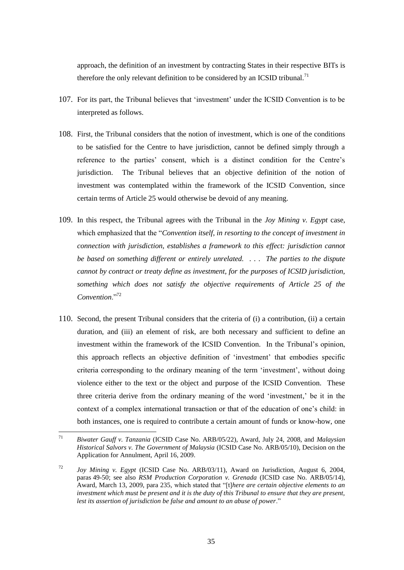approach, the definition of an investment by contracting States in their respective BITs is therefore the only relevant definition to be considered by an ICSID tribunal.<sup>71</sup>

- 107. For its part, the Tribunal believes that "investment" under the ICSID Convention is to be interpreted as follows.
- 108. First, the Tribunal considers that the notion of investment, which is one of the conditions to be satisfied for the Centre to have jurisdiction, cannot be defined simply through a reference to the parties" consent, which is a distinct condition for the Centre"s jurisdiction. The Tribunal believes that an objective definition of the notion of investment was contemplated within the framework of the ICSID Convention, since certain terms of Article 25 would otherwise be devoid of any meaning.
- 109. In this respect, the Tribunal agrees with the Tribunal in the *Joy Mining v. Egypt* case, which emphasized that the "*Convention itself, in resorting to the concept of investment in connection with jurisdiction, establishes a framework to this effect: jurisdiction cannot be based on something different or entirely unrelated. . . . The parties to the dispute cannot by contract or treaty define as investment, for the purposes of ICSID jurisdiction, something which does not satisfy the objective requirements of Article 25 of the Convention*."<sup>72</sup>
- 110. Second, the present Tribunal considers that the criteria of (i) a contribution, (ii) a certain duration, and (iii) an element of risk, are both necessary and sufficient to define an investment within the framework of the ICSID Convention. In the Tribunal"s opinion, this approach reflects an objective definition of "investment" that embodies specific criteria corresponding to the ordinary meaning of the term "investment", without doing violence either to the text or the object and purpose of the ICSID Convention. These three criteria derive from the ordinary meaning of the word "investment," be it in the context of a complex international transaction or that of the education of one"s child: in both instances, one is required to contribute a certain amount of funds or know-how, one

 $71$ <sup>71</sup> *Biwater Gauff v. Tanzania* (ICSID Case No. ARB/05/22), Award, July 24, 2008, and *Malaysian Historical Salvors v. The Government of Malaysia* (ICSID Case No. ARB/05/10), Decision on the Application for Annulment, April 16, 2009.

<sup>72</sup> *Joy Mining v. Egypt* (ICSID Case No. ARB/03/11), Award on Jurisdiction, August 6, 2004, paras 49-50; see also *RSM Production Corporation v. Grenada* (ICSID case No. ARB/05/14), Award, March 13, 2009, para 235, which stated that "[t]*here are certain objective elements to an investment which must be present and it is the duty of this Tribunal to ensure that they are present, lest its assertion of jurisdiction be false and amount to an abuse of power*."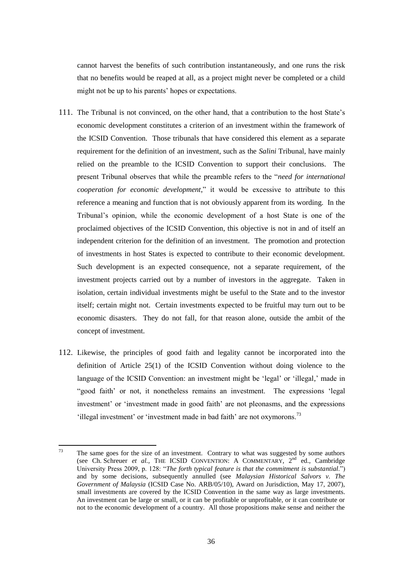cannot harvest the benefits of such contribution instantaneously, and one runs the risk that no benefits would be reaped at all, as a project might never be completed or a child might not be up to his parents' hopes or expectations.

- 111. The Tribunal is not convinced, on the other hand, that a contribution to the host State"s economic development constitutes a criterion of an investment within the framework of the ICSID Convention. Those tribunals that have considered this element as a separate requirement for the definition of an investment, such as the *Salini* Tribunal, have mainly relied on the preamble to the ICSID Convention to support their conclusions. The present Tribunal observes that while the preamble refers to the "*need for international cooperation for economic development*," it would be excessive to attribute to this reference a meaning and function that is not obviously apparent from its wording. In the Tribunal"s opinion, while the economic development of a host State is one of the proclaimed objectives of the ICSID Convention, this objective is not in and of itself an independent criterion for the definition of an investment. The promotion and protection of investments in host States is expected to contribute to their economic development. Such development is an expected consequence, not a separate requirement, of the investment projects carried out by a number of investors in the aggregate. Taken in isolation, certain individual investments might be useful to the State and to the investor itself; certain might not. Certain investments expected to be fruitful may turn out to be economic disasters. They do not fall, for that reason alone, outside the ambit of the concept of investment.
- 112. Likewise, the principles of good faith and legality cannot be incorporated into the definition of Article 25(1) of the ICSID Convention without doing violence to the language of the ICSID Convention: an investment might be 'legal' or 'illegal,' made in "good faith" or not, it nonetheless remains an investment. The expressions "legal investment" or "investment made in good faith" are not pleonasms, and the expressions 'illegal investment' or 'investment made in bad faith' are not oxymorons.<sup>73</sup>

<sup>73</sup> The same goes for the size of an investment. Contrary to what was suggested by some authors (see Ch. Schreuer *et al.*, THE ICSID CONVENTION: A COMMENTARY, 2nd ed., Cambridge University Press 2009, p. 128: "*The forth typical feature is that the commitment is substantial*.") and by some decisions, subsequently annulled (see *Malaysian Historical Salvors v. The Government of Malaysia* (ICSID Case No. ARB/05/10), Award on Jurisdiction, May 17, 2007), small investments are covered by the ICSID Convention in the same way as large investments. An investment can be large or small, or it can be profitable or unprofitable, or it can contribute or not to the economic development of a country. All those propositions make sense and neither the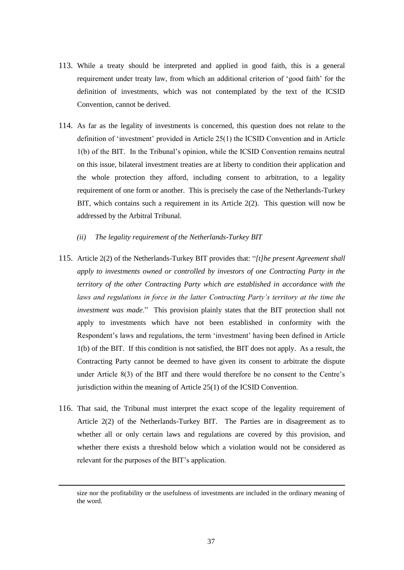- 113. While a treaty should be interpreted and applied in good faith, this is a general requirement under treaty law, from which an additional criterion of "good faith" for the definition of investments, which was not contemplated by the text of the ICSID Convention, cannot be derived.
- 114. As far as the legality of investments is concerned, this question does not relate to the definition of "investment" provided in Article 25(1) the ICSID Convention and in Article 1(b) of the BIT. In the Tribunal"s opinion, while the ICSID Convention remains neutral on this issue, bilateral investment treaties are at liberty to condition their application and the whole protection they afford, including consent to arbitration, to a legality requirement of one form or another. This is precisely the case of the Netherlands-Turkey BIT, which contains such a requirement in its Article 2(2). This question will now be addressed by the Arbitral Tribunal.
	- *(ii) The legality requirement of the Netherlands-Turkey BIT*
- 115. Article 2(2) of the Netherlands-Turkey BIT provides that: "*[t]he present Agreement shall apply to investments owned or controlled by investors of one Contracting Party in the territory of the other Contracting Party which are established in accordance with the*  laws and regulations in force in the latter Contracting Party's territory at the time the *investment was made*." This provision plainly states that the BIT protection shall not apply to investments which have not been established in conformity with the Respondent"s laws and regulations, the term "investment" having been defined in Article 1(b) of the BIT. If this condition is not satisfied, the BIT does not apply. As a result, the Contracting Party cannot be deemed to have given its consent to arbitrate the dispute under Article 8(3) of the BIT and there would therefore be no consent to the Centre"s jurisdiction within the meaning of Article 25(1) of the ICSID Convention.
- 116. That said, the Tribunal must interpret the exact scope of the legality requirement of Article 2(2) of the Netherlands-Turkey BIT. The Parties are in disagreement as to whether all or only certain laws and regulations are covered by this provision, and whether there exists a threshold below which a violation would not be considered as relevant for the purposes of the BIT"s application.

 $\overline{a}$ 

size nor the profitability or the usefulness of investments are included in the ordinary meaning of the word.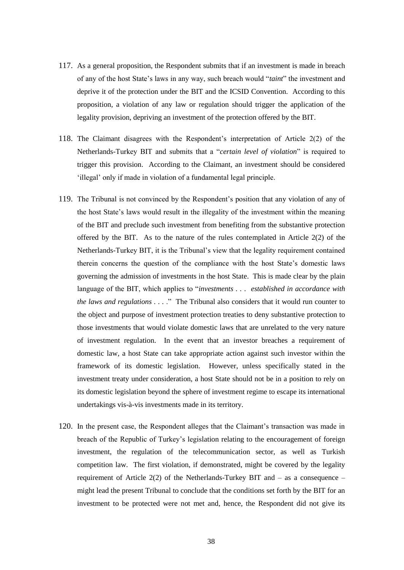- 117. As a general proposition, the Respondent submits that if an investment is made in breach of any of the host State"s laws in any way, such breach would "*taint*" the investment and deprive it of the protection under the BIT and the ICSID Convention. According to this proposition, a violation of any law or regulation should trigger the application of the legality provision, depriving an investment of the protection offered by the BIT.
- 118. The Claimant disagrees with the Respondent"s interpretation of Article 2(2) of the Netherlands-Turkey BIT and submits that a "*certain level of violation*" is required to trigger this provision. According to the Claimant, an investment should be considered "illegal" only if made in violation of a fundamental legal principle.
- 119. The Tribunal is not convinced by the Respondent"s position that any violation of any of the host State"s laws would result in the illegality of the investment within the meaning of the BIT and preclude such investment from benefiting from the substantive protection offered by the BIT. As to the nature of the rules contemplated in Article  $2(2)$  of the Netherlands-Turkey BIT, it is the Tribunal"s view that the legality requirement contained therein concerns the question of the compliance with the host State"s domestic laws governing the admission of investments in the host State. This is made clear by the plain language of the BIT, which applies to "*investments . . . established in accordance with the laws and regulations . . .* ."The Tribunal also considers that it would run counter to the object and purpose of investment protection treaties to deny substantive protection to those investments that would violate domestic laws that are unrelated to the very nature of investment regulation. In the event that an investor breaches a requirement of domestic law, a host State can take appropriate action against such investor within the framework of its domestic legislation. However, unless specifically stated in the investment treaty under consideration, a host State should not be in a position to rely on its domestic legislation beyond the sphere of investment regime to escape its international undertakings vis-à-vis investments made in its territory.
- 120. In the present case, the Respondent alleges that the Claimant"s transaction was made in breach of the Republic of Turkey"s legislation relating to the encouragement of foreign investment, the regulation of the telecommunication sector, as well as Turkish competition law. The first violation, if demonstrated, might be covered by the legality requirement of Article 2(2) of the Netherlands-Turkey BIT and  $-$  as a consequence  $$ might lead the present Tribunal to conclude that the conditions set forth by the BIT for an investment to be protected were not met and, hence, the Respondent did not give its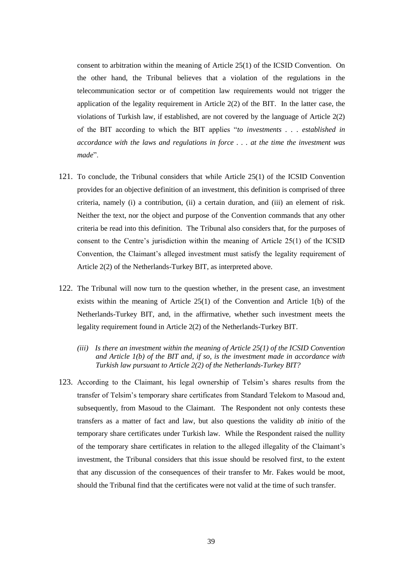consent to arbitration within the meaning of Article 25(1) of the ICSID Convention. On the other hand, the Tribunal believes that a violation of the regulations in the telecommunication sector or of competition law requirements would not trigger the application of the legality requirement in Article 2(2) of the BIT. In the latter case, the violations of Turkish law, if established, are not covered by the language of Article 2(2) of the BIT according to which the BIT applies "*to investments . . . established in accordance with the laws and regulations in force . . . at the time the investment was made*".

- 121. To conclude, the Tribunal considers that while Article 25(1) of the ICSID Convention provides for an objective definition of an investment, this definition is comprised of three criteria, namely (i) a contribution, (ii) a certain duration, and (iii) an element of risk. Neither the text, nor the object and purpose of the Convention commands that any other criteria be read into this definition. The Tribunal also considers that, for the purposes of consent to the Centre"s jurisdiction within the meaning of Article 25(1) of the ICSID Convention, the Claimant's alleged investment must satisfy the legality requirement of Article 2(2) of the Netherlands-Turkey BIT, as interpreted above.
- 122. The Tribunal will now turn to the question whether, in the present case, an investment exists within the meaning of Article  $25(1)$  of the Convention and Article  $1(b)$  of the Netherlands-Turkey BIT, and, in the affirmative, whether such investment meets the legality requirement found in Article 2(2) of the Netherlands-Turkey BIT.
	- *(iii) Is there an investment within the meaning of Article 25(1) of the ICSID Convention and Article 1(b) of the BIT and, if so, is the investment made in accordance with Turkish law pursuant to Article 2(2) of the Netherlands-Turkey BIT?*
- 123. According to the Claimant, his legal ownership of Telsim"s shares results from the transfer of Telsim"s temporary share certificates from Standard Telekom to Masoud and, subsequently, from Masoud to the Claimant. The Respondent not only contests these transfers as a matter of fact and law, but also questions the validity *ab initio* of the temporary share certificates under Turkish law. While the Respondent raised the nullity of the temporary share certificates in relation to the alleged illegality of the Claimant"s investment, the Tribunal considers that this issue should be resolved first, to the extent that any discussion of the consequences of their transfer to Mr. Fakes would be moot, should the Tribunal find that the certificates were not valid at the time of such transfer.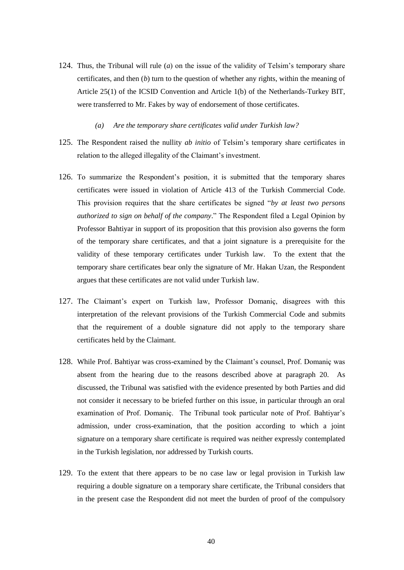- 124. Thus, the Tribunal will rule (*a*) on the issue of the validity of Telsim"s temporary share certificates, and then (*b*) turn to the question of whether any rights, within the meaning of Article 25(1) of the ICSID Convention and Article 1(b) of the Netherlands-Turkey BIT, were transferred to Mr. Fakes by way of endorsement of those certificates.
	- *(a) Are the temporary share certificates valid under Turkish law?*
- 125. The Respondent raised the nullity *ab initio* of Telsim"s temporary share certificates in relation to the alleged illegality of the Claimant's investment.
- 126. To summarize the Respondent"s position, it is submitted that the temporary shares certificates were issued in violation of Article 413 of the Turkish Commercial Code. This provision requires that the share certificates be signed "*by at least two persons authorized to sign on behalf of the company*." The Respondent filed a Legal Opinion by Professor Bahtiyar in support of its proposition that this provision also governs the form of the temporary share certificates, and that a joint signature is a prerequisite for the validity of these temporary certificates under Turkish law. To the extent that the temporary share certificates bear only the signature of Mr. Hakan Uzan, the Respondent argues that these certificates are not valid under Turkish law.
- 127. The Claimant"s expert on Turkish law, Professor Domaniç, disagrees with this interpretation of the relevant provisions of the Turkish Commercial Code and submits that the requirement of a double signature did not apply to the temporary share certificates held by the Claimant.
- 128. While Prof. Bahtiyar was cross-examined by the Claimant"s counsel, Prof. Domaniç was absent from the hearing due to the reasons described above at paragraph 20. As discussed, the Tribunal was satisfied with the evidence presented by both Parties and did not consider it necessary to be briefed further on this issue, in particular through an oral examination of Prof. Domaniç. The Tribunal took particular note of Prof. Bahtiyar's admission, under cross-examination, that the position according to which a joint signature on a temporary share certificate is required was neither expressly contemplated in the Turkish legislation, nor addressed by Turkish courts.
- 129. To the extent that there appears to be no case law or legal provision in Turkish law requiring a double signature on a temporary share certificate, the Tribunal considers that in the present case the Respondent did not meet the burden of proof of the compulsory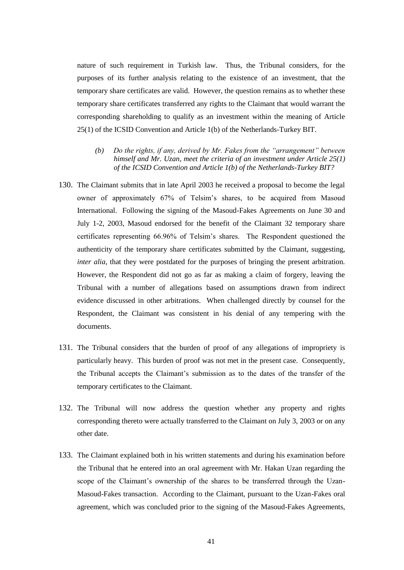nature of such requirement in Turkish law. Thus, the Tribunal considers, for the purposes of its further analysis relating to the existence of an investment, that the temporary share certificates are valid. However, the question remains as to whether these temporary share certificates transferred any rights to the Claimant that would warrant the corresponding shareholding to qualify as an investment within the meaning of Article 25(1) of the ICSID Convention and Article 1(b) of the Netherlands-Turkey BIT.

- *(b) Do the rights, if any, derived by Mr. Fakes from the "arrangement" between himself and Mr. Uzan, meet the criteria of an investment under Article 25(1) of the ICSID Convention and Article 1(b) of the Netherlands-Turkey BIT?*
- 130. The Claimant submits that in late April 2003 he received a proposal to become the legal owner of approximately 67% of Telsim"s shares, to be acquired from Masoud International. Following the signing of the Masoud-Fakes Agreements on June 30 and July 1-2, 2003, Masoud endorsed for the benefit of the Claimant 32 temporary share certificates representing 66.96% of Telsim"s shares. The Respondent questioned the authenticity of the temporary share certificates submitted by the Claimant, suggesting, *inter alia*, that they were postdated for the purposes of bringing the present arbitration. However, the Respondent did not go as far as making a claim of forgery, leaving the Tribunal with a number of allegations based on assumptions drawn from indirect evidence discussed in other arbitrations. When challenged directly by counsel for the Respondent, the Claimant was consistent in his denial of any tempering with the documents.
- 131. The Tribunal considers that the burden of proof of any allegations of impropriety is particularly heavy. This burden of proof was not met in the present case. Consequently, the Tribunal accepts the Claimant"s submission as to the dates of the transfer of the temporary certificates to the Claimant.
- 132. The Tribunal will now address the question whether any property and rights corresponding thereto were actually transferred to the Claimant on July 3, 2003 or on any other date.
- 133. The Claimant explained both in his written statements and during his examination before the Tribunal that he entered into an oral agreement with Mr. Hakan Uzan regarding the scope of the Claimant's ownership of the shares to be transferred through the Uzan-Masoud-Fakes transaction. According to the Claimant, pursuant to the Uzan-Fakes oral agreement, which was concluded prior to the signing of the Masoud-Fakes Agreements,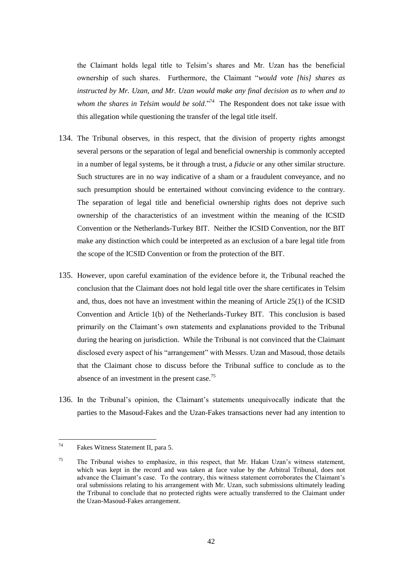the Claimant holds legal title to Telsim"s shares and Mr. Uzan has the beneficial ownership of such shares. Furthermore, the Claimant "*would vote [his] shares as instructed by Mr. Uzan, and Mr. Uzan would make any final decision as to when and to*  whom the shares in Telsim would be sold."<sup>74</sup> The Respondent does not take issue with this allegation while questioning the transfer of the legal title itself.

- 134. The Tribunal observes, in this respect, that the division of property rights amongst several persons or the separation of legal and beneficial ownership is commonly accepted in a number of legal systems, be it through a trust, a *fiducie* or any other similar structure. Such structures are in no way indicative of a sham or a fraudulent conveyance, and no such presumption should be entertained without convincing evidence to the contrary. The separation of legal title and beneficial ownership rights does not deprive such ownership of the characteristics of an investment within the meaning of the ICSID Convention or the Netherlands-Turkey BIT. Neither the ICSID Convention, nor the BIT make any distinction which could be interpreted as an exclusion of a bare legal title from the scope of the ICSID Convention or from the protection of the BIT.
- 135. However, upon careful examination of the evidence before it, the Tribunal reached the conclusion that the Claimant does not hold legal title over the share certificates in Telsim and, thus, does not have an investment within the meaning of Article 25(1) of the ICSID Convention and Article 1(b) of the Netherlands-Turkey BIT. This conclusion is based primarily on the Claimant"s own statements and explanations provided to the Tribunal during the hearing on jurisdiction. While the Tribunal is not convinced that the Claimant disclosed every aspect of his "arrangement" with Messrs. Uzan and Masoud, those details that the Claimant chose to discuss before the Tribunal suffice to conclude as to the absence of an investment in the present case.<sup>75</sup>
- 136. In the Tribunal"s opinion, the Claimant"s statements unequivocally indicate that the parties to the Masoud-Fakes and the Uzan-Fakes transactions never had any intention to

<sup>74</sup> Fakes Witness Statement II, para 5.

<sup>&</sup>lt;sup>75</sup> The Tribunal wishes to emphasize, in this respect, that Mr. Hakan Uzan's witness statement, which was kept in the record and was taken at face value by the Arbitral Tribunal, does not advance the Claimant's case. To the contrary, this witness statement corroborates the Claimant's oral submissions relating to his arrangement with Mr. Uzan, such submissions ultimately leading the Tribunal to conclude that no protected rights were actually transferred to the Claimant under the Uzan-Masoud-Fakes arrangement.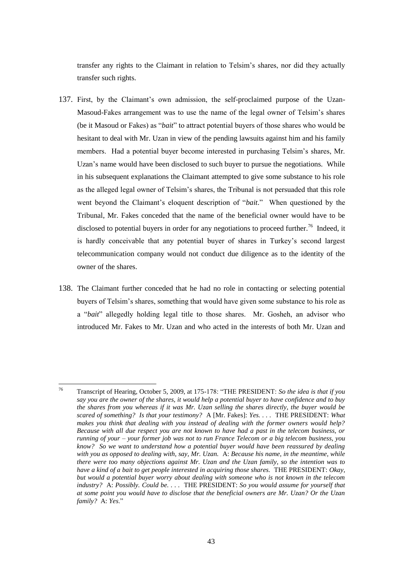transfer any rights to the Claimant in relation to Telsim"s shares, nor did they actually transfer such rights.

- 137. First, by the Claimant"s own admission, the self-proclaimed purpose of the Uzan-Masoud-Fakes arrangement was to use the name of the legal owner of Telsim"s shares (be it Masoud or Fakes) as "*bait*" to attract potential buyers of those shares who would be hesitant to deal with Mr. Uzan in view of the pending lawsuits against him and his family members. Had a potential buyer become interested in purchasing Telsim"s shares, Mr. Uzan"s name would have been disclosed to such buyer to pursue the negotiations. While in his subsequent explanations the Claimant attempted to give some substance to his role as the alleged legal owner of Telsim"s shares, the Tribunal is not persuaded that this role went beyond the Claimant"s eloquent description of "*bait*." When questioned by the Tribunal, Mr. Fakes conceded that the name of the beneficial owner would have to be disclosed to potential buyers in order for any negotiations to proceed further.<sup>76</sup> Indeed, it is hardly conceivable that any potential buyer of shares in Turkey"s second largest telecommunication company would not conduct due diligence as to the identity of the owner of the shares.
- 138. The Claimant further conceded that he had no role in contacting or selecting potential buyers of Telsim"s shares, something that would have given some substance to his role as a "*bait*" allegedly holding legal title to those shares. Mr. Gosheh, an advisor who introduced Mr. Fakes to Mr. Uzan and who acted in the interests of both Mr. Uzan and

 $76$ <sup>76</sup> Transcript of Hearing, October 5, 2009, at 175-178: "THE PRESIDENT: *So the idea is that if you say you are the owner of the shares, it would help a potential buyer to have confidence and to buy the shares from you whereas if it was Mr. Uzan selling the shares directly, the buyer would be scared of something? Is that your testimony?* A [Mr. Fakes]: *Yes. . . .* THE PRESIDENT: *What makes you think that dealing with you instead of dealing with the former owners would help? Because with all due respect you are not known to have had a past in the telecom business, or running of your – your former job was not to run France Telecom or a big telecom business, you know? So we want to understand how a potential buyer would have been reassured by dealing with you as opposed to dealing with, say, Mr. Uzan.* A: *Because his name, in the meantime, while there were too many objections against Mr. Uzan and the Uzan family, so the intention was to have a kind of a bait to get people interested in acquiring those shares.* THE PRESIDENT: *Okay, but would a potential buyer worry about dealing with someone who is not known in the telecom industry?* A: *Possibly. Could be. . . .* THE PRESIDENT: *So you would assume for yourself that at some point you would have to disclose that the beneficial owners are Mr. Uzan? Or the Uzan family?* A: *Yes*."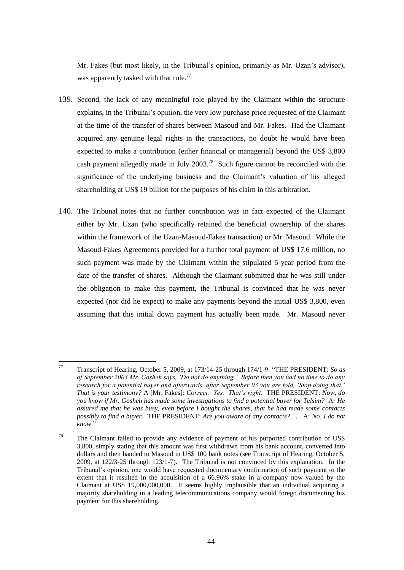Mr. Fakes (but most likely, in the Tribunal's opinion, primarily as Mr. Uzan's advisor), was apparently tasked with that role.<sup>77</sup>

- 139. Second, the lack of any meaningful role played by the Claimant within the structure explains, in the Tribunal"s opinion, the very low purchase price requested of the Claimant at the time of the transfer of shares between Masoud and Mr. Fakes. Had the Claimant acquired any genuine legal rights in the transactions, no doubt he would have been expected to make a contribution (either financial or managerial) beyond the US\$ 3,800 cash payment allegedly made in July  $2003<sup>78</sup>$  Such figure cannot be reconciled with the significance of the underlying business and the Claimant's valuation of his alleged shareholding at US\$ 19 billion for the purposes of his claim in this arbitration.
- 140. The Tribunal notes that no further contribution was in fact expected of the Claimant either by Mr. Uzan (who specifically retained the beneficial ownership of the shares within the framework of the Uzan-Masoud-Fakes transaction) or Mr. Masoud. While the Masoud-Fakes Agreements provided for a further total payment of US\$ 17.6 million, no such payment was made by the Claimant within the stipulated 5-year period from the date of the transfer of shares. Although the Claimant submitted that he was still under the obligation to make this payment, the Tribunal is convinced that he was never expected (nor did he expect) to make any payments beyond the initial US\$ 3,800, even assuming that this initial down payment has actually been made. Mr. Masoud never

 $77$ <sup>77</sup> Transcript of Hearing, October 5, 2009, at 173/14-25 through 174/1-9: "THE PRESIDENT: *So as of September 2003 Mr. Gosheh says, "Do not do anything." Before then you had no time to do any research for a potential buyer and afterwards, after September 03 you are told, "Stop doing that." That is your testimony?* A [Mr. Fakes]: *Correct. Yes. That"s right.* THE PRESIDENT: *Now, do you know if Mr. Gosheh has made some investigations to find a potential buyer for Telsim?* A*: He assured me that he was busy, even before I bought the shares, that he had made some contacts possibly to find a buyer.* THE PRESIDENT: *Are you aware of any contacts? . . .* A: *No, I do not know*."

<sup>&</sup>lt;sup>78</sup> The Claimant failed to provide any evidence of payment of his purported contribution of US\$ 3,800, simply stating that this amount was first withdrawn from his bank account, converted into dollars and then handed to Masoud in US\$ 100 bank notes (see Transcript of Hearing, October 5, 2009, at 122/3-25 through 123/1-7). The Tribunal is not convinced by this explanation. In the Tribunal"s opinion, one would have requested documentary confirmation of such payment to the extent that it resulted in the acquisition of a 66.96% stake in a company now valued by the Claimant at US\$ 19,000,000,000. It seems highly implausible that an individual acquiring a majority shareholding in a leading telecommunications company would forego documenting his payment for this shareholding.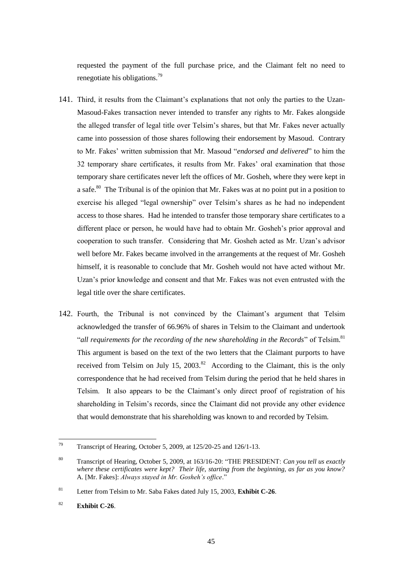requested the payment of the full purchase price, and the Claimant felt no need to renegotiate his obligations.<sup>79</sup>

- 141. Third, it results from the Claimant's explanations that not only the parties to the Uzan-Masoud-Fakes transaction never intended to transfer any rights to Mr. Fakes alongside the alleged transfer of legal title over Telsim"s shares, but that Mr. Fakes never actually came into possession of those shares following their endorsement by Masoud. Contrary to Mr. Fakes" written submission that Mr. Masoud "*endorsed and delivered*" to him the 32 temporary share certificates, it results from Mr. Fakes" oral examination that those temporary share certificates never left the offices of Mr. Gosheh, where they were kept in a safe.<sup>80</sup> The Tribunal is of the opinion that Mr. Fakes was at no point put in a position to exercise his alleged "legal ownership" over Telsim"s shares as he had no independent access to those shares. Had he intended to transfer those temporary share certificates to a different place or person, he would have had to obtain Mr. Gosheh"s prior approval and cooperation to such transfer. Considering that Mr. Gosheh acted as Mr. Uzan"s advisor well before Mr. Fakes became involved in the arrangements at the request of Mr. Gosheh himself, it is reasonable to conclude that Mr. Gosheh would not have acted without Mr. Uzan"s prior knowledge and consent and that Mr. Fakes was not even entrusted with the legal title over the share certificates.
- 142. Fourth, the Tribunal is not convinced by the Claimant's argument that Telsim acknowledged the transfer of 66.96% of shares in Telsim to the Claimant and undertook "all requirements for the recording of the new shareholding in the Records" of Telsim.<sup>81</sup> This argument is based on the text of the two letters that the Claimant purports to have received from Telsim on July 15,  $2003$ .<sup>82</sup> According to the Claimant, this is the only correspondence that he had received from Telsim during the period that he held shares in Telsim. It also appears to be the Claimant"s only direct proof of registration of his shareholding in Telsim"s records, since the Claimant did not provide any other evidence that would demonstrate that his shareholding was known to and recorded by Telsim.

<sup>79</sup> Transcript of Hearing, October 5, 2009, at 125/20-25 and 126/1-13.

<sup>80</sup> Transcript of Hearing, October 5, 2009, at 163/16-20: "THE PRESIDENT: *Can you tell us exactly where these certificates were kept? Their life, starting from the beginning, as far as you know?* A. [Mr. Fakes]: *Always stayed in Mr. Gosheh"s office*."

<sup>81</sup> Letter from Telsim to Mr. Saba Fakes dated July 15, 2003, **Exhibit C-26**.

<sup>82</sup> **Exhibit C-26**.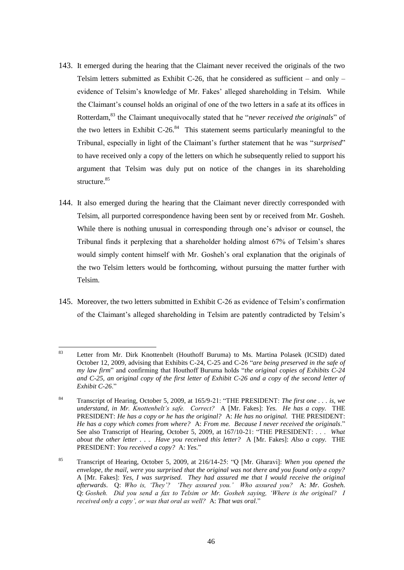- 143. It emerged during the hearing that the Claimant never received the originals of the two Telsim letters submitted as Exhibit C-26, that he considered as sufficient – and only – evidence of Telsim"s knowledge of Mr. Fakes" alleged shareholding in Telsim. While the Claimant"s counsel holds an original of one of the two letters in a safe at its offices in Rotterdam,<sup>83</sup> the Claimant unequivocally stated that he "*never received the originals*" of the two letters in Exhibit  $C-26$ .<sup>84</sup> This statement seems particularly meaningful to the Tribunal, especially in light of the Claimant"s further statement that he was "*surprised*" to have received only a copy of the letters on which he subsequently relied to support his argument that Telsim was duly put on notice of the changes in its shareholding structure.<sup>85</sup>
- 144. It also emerged during the hearing that the Claimant never directly corresponded with Telsim, all purported correspondence having been sent by or received from Mr. Gosheh. While there is nothing unusual in corresponding through one"s advisor or counsel, the Tribunal finds it perplexing that a shareholder holding almost 67% of Telsim"s shares would simply content himself with Mr. Gosheh"s oral explanation that the originals of the two Telsim letters would be forthcoming, without pursuing the matter further with Telsim.
- 145. Moreover, the two letters submitted in Exhibit C-26 as evidence of Telsim"s confirmation of the Claimant"s alleged shareholding in Telsim are patently contradicted by Telsim"s

<sup>83</sup> <sup>83</sup> Letter from Mr. Dirk Knottenbelt (Houthoff Buruma) to Ms. Martina Polasek (ICSID) dated October 12, 2009, advising that Exhibits C-24, C-25 and C-26 "*are being preserved in the safe of my law firm*" and confirming that Houthoff Buruma holds "*the original copies of Exhibits C-24*  and C-25, an original copy of the first letter of Exhibit C-26 and a copy of the second letter of *Exhibit C-26*."

<sup>84</sup> Transcript of Hearing, October 5, 2009, at 165/9-21: "THE PRESIDENT: *The first one . . . is, we understand, in Mr. Knottenbelt"s safe. Correct?* A [Mr. Fakes]: *Yes. He has a copy.* THE PRESIDENT: *He has a copy or he has the original?* A: *He has no original.* THE PRESIDENT: *He has a copy which comes from where?* A: *From me. Because I never received the originals*." See also Transcript of Hearing, October 5, 2009, at 167/10-21: "THE PRESIDENT: . . . *What about the other letter . . . Have you received this letter?* A [Mr. Fakes]: *Also a copy.* THE PRESIDENT: *You received a copy?* A: *Yes.*"

<sup>85</sup> Transcript of Hearing, October 5, 2009, at 216/14-25: "Q [Mr. Gharavi]: *When you opened the envelope, the mail, were you surprised that the original was not there and you found only a copy?* A [Mr. Fakes]: *Yes, I was surprised. They had assured me that I would receive the original afterwards*. Q: *Who is, "They"? "They assured you." Who assured you?* A: *Mr. Gosheh.* Q: *Gosheh. Did you send a fax to Telsim or Mr. Gosheh saying, "Where is the original? I received only a copy", or was that oral as well?* A: *That was oral*."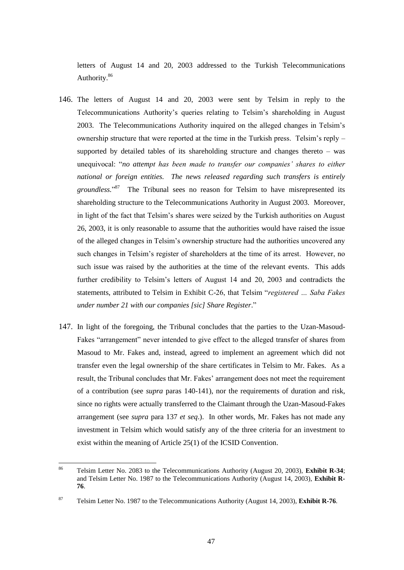letters of August 14 and 20, 2003 addressed to the Turkish Telecommunications Authority.<sup>86</sup>

- 146. The letters of August 14 and 20, 2003 were sent by Telsim in reply to the Telecommunications Authority"s queries relating to Telsim"s shareholding in August 2003. The Telecommunications Authority inquired on the alleged changes in Telsim"s ownership structure that were reported at the time in the Turkish press. Telsim"s reply – supported by detailed tables of its shareholding structure and changes thereto – was unequivocal: "*no attempt has been made to transfer our companies" shares to either national or foreign entities. The news released regarding such transfers is entirely*  groundless."<sup>87</sup> The Tribunal sees no reason for Telsim to have misrepresented its shareholding structure to the Telecommunications Authority in August 2003. Moreover, in light of the fact that Telsim"s shares were seized by the Turkish authorities on August 26, 2003, it is only reasonable to assume that the authorities would have raised the issue of the alleged changes in Telsim"s ownership structure had the authorities uncovered any such changes in Telsim"s register of shareholders at the time of its arrest. However, no such issue was raised by the authorities at the time of the relevant events. This adds further credibility to Telsim"s letters of August 14 and 20, 2003 and contradicts the statements, attributed to Telsim in Exhibit C-26, that Telsim "*registered … Saba Fakes under number 21 with our companies [sic] Share Register*."
- 147. In light of the foregoing, the Tribunal concludes that the parties to the Uzan-Masoud-Fakes "arrangement" never intended to give effect to the alleged transfer of shares from Masoud to Mr. Fakes and, instead, agreed to implement an agreement which did not transfer even the legal ownership of the share certificates in Telsim to Mr. Fakes. As a result, the Tribunal concludes that Mr. Fakes" arrangement does not meet the requirement of a contribution (see *supra* paras 140-141), nor the requirements of duration and risk, since no rights were actually transferred to the Claimant through the Uzan-Masoud-Fakes arrangement (see *supra* para 137 *et seq*.). In other words, Mr. Fakes has not made any investment in Telsim which would satisfy any of the three criteria for an investment to exist within the meaning of Article 25(1) of the ICSID Convention.

<sup>86</sup> <sup>86</sup> Telsim Letter No. 2083 to the Telecommunications Authority (August 20, 2003), **Exhibit R-34**; and Telsim Letter No. 1987 to the Telecommunications Authority (August 14, 2003), **Exhibit R-76**.

<sup>87</sup> Telsim Letter No. 1987 to the Telecommunications Authority (August 14, 2003), **Exhibit R-76**.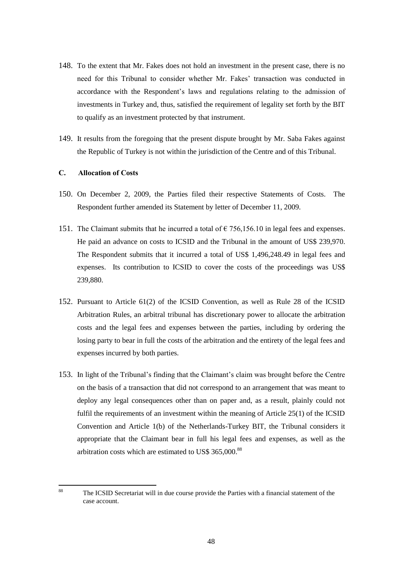- 148. To the extent that Mr. Fakes does not hold an investment in the present case, there is no need for this Tribunal to consider whether Mr. Fakes" transaction was conducted in accordance with the Respondent"s laws and regulations relating to the admission of investments in Turkey and, thus, satisfied the requirement of legality set forth by the BIT to qualify as an investment protected by that instrument.
- 149. It results from the foregoing that the present dispute brought by Mr. Saba Fakes against the Republic of Turkey is not within the jurisdiction of the Centre and of this Tribunal.

# **C. Allocation of Costs**

88

- 150. On December 2, 2009, the Parties filed their respective Statements of Costs. The Respondent further amended its Statement by letter of December 11, 2009.
- 151. The Claimant submits that he incurred a total of  $\epsilon$  756,156.10 in legal fees and expenses. He paid an advance on costs to ICSID and the Tribunal in the amount of US\$ 239,970. The Respondent submits that it incurred a total of US\$ 1,496,248.49 in legal fees and expenses. Its contribution to ICSID to cover the costs of the proceedings was US\$ 239,880.
- 152. Pursuant to Article 61(2) of the ICSID Convention, as well as Rule 28 of the ICSID Arbitration Rules, an arbitral tribunal has discretionary power to allocate the arbitration costs and the legal fees and expenses between the parties, including by ordering the losing party to bear in full the costs of the arbitration and the entirety of the legal fees and expenses incurred by both parties.
- 153. In light of the Tribunal"s finding that the Claimant"s claim was brought before the Centre on the basis of a transaction that did not correspond to an arrangement that was meant to deploy any legal consequences other than on paper and, as a result, plainly could not fulfil the requirements of an investment within the meaning of Article 25(1) of the ICSID Convention and Article 1(b) of the Netherlands-Turkey BIT, the Tribunal considers it appropriate that the Claimant bear in full his legal fees and expenses, as well as the arbitration costs which are estimated to US\$ 365,000.<sup>88</sup>

The ICSID Secretariat will in due course provide the Parties with a financial statement of the case account.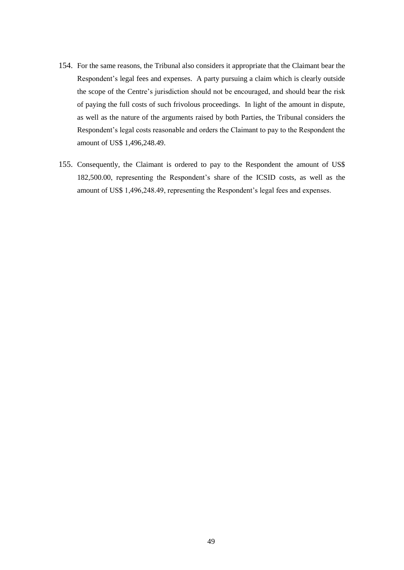- 154. For the same reasons, the Tribunal also considers it appropriate that the Claimant bear the Respondent's legal fees and expenses. A party pursuing a claim which is clearly outside the scope of the Centre's jurisdiction should not be encouraged, and should bear the risk of paying the full costs of such frivolous proceedings. In light of the amount in dispute, as well as the nature of the arguments raised by both Parties, the Tribunal considers the Respondent"s legal costs reasonable and orders the Claimant to pay to the Respondent the amount of US\$ 1,496,248.49.
- 155. Consequently, the Claimant is ordered to pay to the Respondent the amount of US\$ 182,500.00, representing the Respondent"s share of the ICSID costs, as well as the amount of US\$ 1,496,248.49, representing the Respondent"s legal fees and expenses.